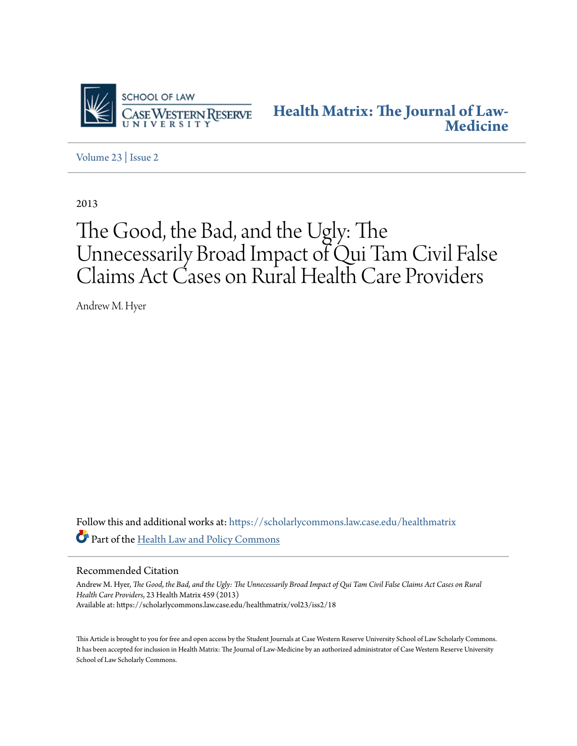

**[Health Matrix: The Journal of Law-](https://scholarlycommons.law.case.edu/healthmatrix?utm_source=scholarlycommons.law.case.edu%2Fhealthmatrix%2Fvol23%2Fiss2%2F18&utm_medium=PDF&utm_campaign=PDFCoverPages)[Medicine](https://scholarlycommons.law.case.edu/healthmatrix?utm_source=scholarlycommons.law.case.edu%2Fhealthmatrix%2Fvol23%2Fiss2%2F18&utm_medium=PDF&utm_campaign=PDFCoverPages)**

[Volume 23](https://scholarlycommons.law.case.edu/healthmatrix/vol23?utm_source=scholarlycommons.law.case.edu%2Fhealthmatrix%2Fvol23%2Fiss2%2F18&utm_medium=PDF&utm_campaign=PDFCoverPages) | [Issue 2](https://scholarlycommons.law.case.edu/healthmatrix/vol23/iss2?utm_source=scholarlycommons.law.case.edu%2Fhealthmatrix%2Fvol23%2Fiss2%2F18&utm_medium=PDF&utm_campaign=PDFCoverPages)

2013

# The Good, the Bad, and the Ugly: The Unnecessarily Broad Impact of Qui Tam Civil False Claims Act Cases on Rural Health Care Providers

Andrew M. Hyer

Follow this and additional works at: [https://scholarlycommons.law.case.edu/healthmatrix](https://scholarlycommons.law.case.edu/healthmatrix?utm_source=scholarlycommons.law.case.edu%2Fhealthmatrix%2Fvol23%2Fiss2%2F18&utm_medium=PDF&utm_campaign=PDFCoverPages) Part of the [Health Law and Policy Commons](http://network.bepress.com/hgg/discipline/901?utm_source=scholarlycommons.law.case.edu%2Fhealthmatrix%2Fvol23%2Fiss2%2F18&utm_medium=PDF&utm_campaign=PDFCoverPages)

#### Recommended Citation

Andrew M. Hyer, *The Good, the Bad, and the Ugly: The Unnecessarily Broad Impact of Qui Tam Civil False Claims Act Cases on Rural Health Care Providers*, 23 Health Matrix 459 (2013) Available at: https://scholarlycommons.law.case.edu/healthmatrix/vol23/iss2/18

This Article is brought to you for free and open access by the Student Journals at Case Western Reserve University School of Law Scholarly Commons. It has been accepted for inclusion in Health Matrix: The Journal of Law-Medicine by an authorized administrator of Case Western Reserve University School of Law Scholarly Commons.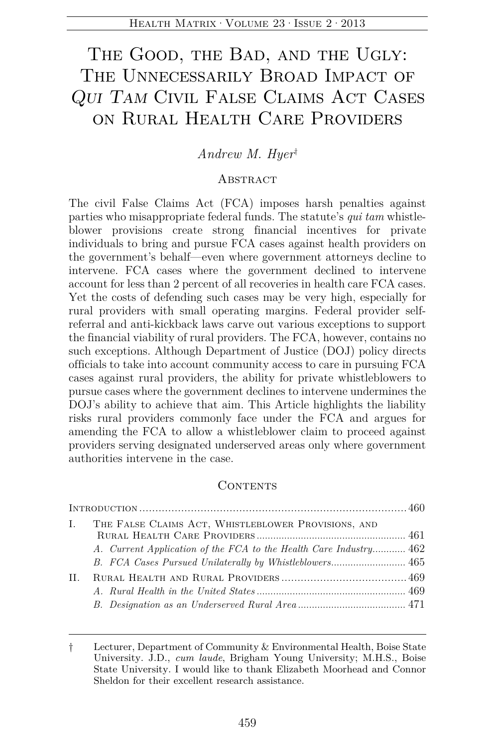# THE GOOD, THE BAD, AND THE UGLY: The Unnecessarily Broad Impact of *Qui Tam* Civil False Claims Act Cases on Rural Health Care Providers

# *Andrew M. Hyer*†

# **ABSTRACT**

The civil False Claims Act (FCA) imposes harsh penalties against parties who misappropriate federal funds. The statute's *qui tam* whistleblower provisions create strong financial incentives for private individuals to bring and pursue FCA cases against health providers on the government's behalf—even where government attorneys decline to intervene. FCA cases where the government declined to intervene account for less than 2 percent of all recoveries in health care FCA cases. Yet the costs of defending such cases may be very high, especially for rural providers with small operating margins. Federal provider selfreferral and anti-kickback laws carve out various exceptions to support the financial viability of rural providers. The FCA, however, contains no such exceptions. Although Department of Justice (DOJ) policy directs officials to take into account community access to care in pursuing FCA cases against rural providers, the ability for private whistleblowers to pursue cases where the government declines to intervene undermines the DOJ's ability to achieve that aim. This Article highlights the liability risks rural providers commonly face under the FCA and argues for amending the FCA to allow a whistleblower claim to proceed against providers serving designated underserved areas only where government authorities intervene in the case.

#### **CONTENTS**

| L. | THE FALSE CLAIMS ACT, WHISTLEBLOWER PROVISIONS, AND               |  |
|----|-------------------------------------------------------------------|--|
|    | A. Current Application of the FCA to the Health Care Industry 462 |  |
| H. |                                                                   |  |

<sup>†</sup> Lecturer, Department of Community & Environmental Health, Boise State University. J.D., *cum laude*, Brigham Young University; M.H.S., Boise State University. I would like to thank Elizabeth Moorhead and Connor Sheldon for their excellent research assistance.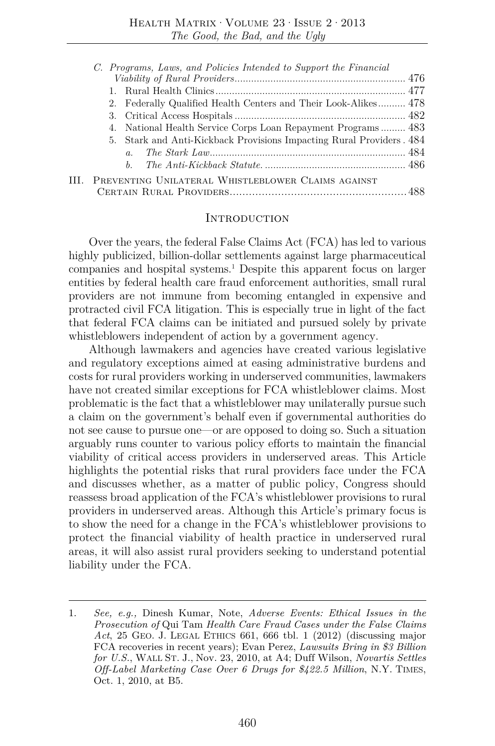| C. Programs, Laws, and Policies Intended to Support the Financial    |  |
|----------------------------------------------------------------------|--|
|                                                                      |  |
|                                                                      |  |
| 2. Federally Qualified Health Centers and Their Look-Alikes 478      |  |
|                                                                      |  |
| 4. National Health Service Corps Loan Repayment Programs 483         |  |
| 5. Stark and Anti-Kickback Provisions Impacting Rural Providers. 484 |  |
| $a_{-}$                                                              |  |
| $h_{-}$                                                              |  |
| III. PREVENTING UNILATERAL WHISTLEBLOWER CLAIMS AGAINST              |  |
|                                                                      |  |
|                                                                      |  |

#### Introduction

Over the years, the federal False Claims Act (FCA) has led to various highly publicized, billion-dollar settlements against large pharmaceutical companies and hospital systems.1 Despite this apparent focus on larger entities by federal health care fraud enforcement authorities, small rural providers are not immune from becoming entangled in expensive and protracted civil FCA litigation. This is especially true in light of the fact that federal FCA claims can be initiated and pursued solely by private whistleblowers independent of action by a government agency.

Although lawmakers and agencies have created various legislative and regulatory exceptions aimed at easing administrative burdens and costs for rural providers working in underserved communities, lawmakers have not created similar exceptions for FCA whistleblower claims. Most problematic is the fact that a whistleblower may unilaterally pursue such a claim on the government's behalf even if governmental authorities do not see cause to pursue one—or are opposed to doing so. Such a situation arguably runs counter to various policy efforts to maintain the financial viability of critical access providers in underserved areas. This Article highlights the potential risks that rural providers face under the FCA and discusses whether, as a matter of public policy, Congress should reassess broad application of the FCA's whistleblower provisions to rural providers in underserved areas. Although this Article's primary focus is to show the need for a change in the FCA's whistleblower provisions to protect the financial viability of health practice in underserved rural areas, it will also assist rural providers seeking to understand potential liability under the FCA.

<sup>1.</sup> *See, e.g.,* Dinesh Kumar, Note, *Adverse Events: Ethical Issues in the Prosecution of* Qui Tam *Health Care Fraud Cases under the False Claims Act*, 25 GEO. J. LEGAL ETHICS 661, 666 tbl. 1 (2012) (discussing major FCA recoveries in recent years); Evan Perez, *Lawsuits Bring in \$3 Billion for U.S.*, WALL ST. J., Nov. 23, 2010, at A4; Duff Wilson, *Novartis Settles Off-Label Marketing Case Over 6 Drugs for \$422.5 Million*, N.Y. TIMES, Oct. 1, 2010, at B5.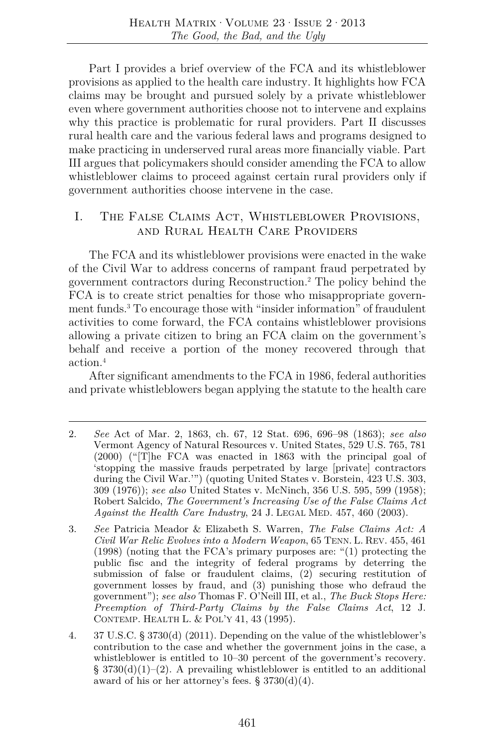Part I provides a brief overview of the FCA and its whistleblower provisions as applied to the health care industry. It highlights how FCA claims may be brought and pursued solely by a private whistleblower even where government authorities choose not to intervene and explains why this practice is problematic for rural providers. Part II discusses rural health care and the various federal laws and programs designed to make practicing in underserved rural areas more financially viable. Part III argues that policymakers should consider amending the FCA to allow whistleblower claims to proceed against certain rural providers only if government authorities choose intervene in the case.

# I. The False Claims Act, Whistleblower Provisions, and Rural Health Care Providers

The FCA and its whistleblower provisions were enacted in the wake of the Civil War to address concerns of rampant fraud perpetrated by government contractors during Reconstruction.2 The policy behind the FCA is to create strict penalties for those who misappropriate government funds.3 To encourage those with "insider information" of fraudulent activities to come forward, the FCA contains whistleblower provisions allowing a private citizen to bring an FCA claim on the government's behalf and receive a portion of the money recovered through that action<sup>4</sup>

After significant amendments to the FCA in 1986, federal authorities and private whistleblowers began applying the statute to the health care

<sup>2.</sup> *See* Act of Mar. 2, 1863, ch. 67, 12 Stat. 696, 696–98 (1863); *see also*  Vermont Agency of Natural Resources v. United States, 529 U.S. 765, 781 (2000) ("[T]he FCA was enacted in 1863 with the principal goal of 'stopping the massive frauds perpetrated by large [private] contractors during the Civil War.'") (quoting United States v. Borstein, 423 U.S. 303, 309 (1976)); *see also* United States v. McNinch, 356 U.S. 595, 599 (1958); Robert Salcido, *The Government's Increasing Use of the False Claims Act Against the Health Care Industry*, 24 J. LEGAL MED. 457, 460 (2003).

<sup>3.</sup> *See* Patricia Meador & Elizabeth S. Warren, *The False Claims Act: A Civil War Relic Evolves into a Modern Weapon*, 65 TENN. L. REV. 455, 461 (1998) (noting that the FCA's primary purposes are: "(1) protecting the public fisc and the integrity of federal programs by deterring the submission of false or fraudulent claims, (2) securing restitution of government losses by fraud, and (3) punishing those who defraud the government"); *see also* Thomas F. O'Neill III, et al., *The Buck Stops Here: Preemption of Third-Party Claims by the False Claims Act*, 12 J. CONTEMP. HEALTH L. & POL'Y 41, 43 (1995).

<sup>4. 37</sup> U.S.C. § 3730(d) (2011). Depending on the value of the whistleblower's contribution to the case and whether the government joins in the case, a whistleblower is entitled to 10–30 percent of the government's recovery.  $\S 3730(d)(1)-(2)$ . A prevailing whistleblower is entitled to an additional award of his or her attorney's fees.  $\S 3730(d)(4)$ .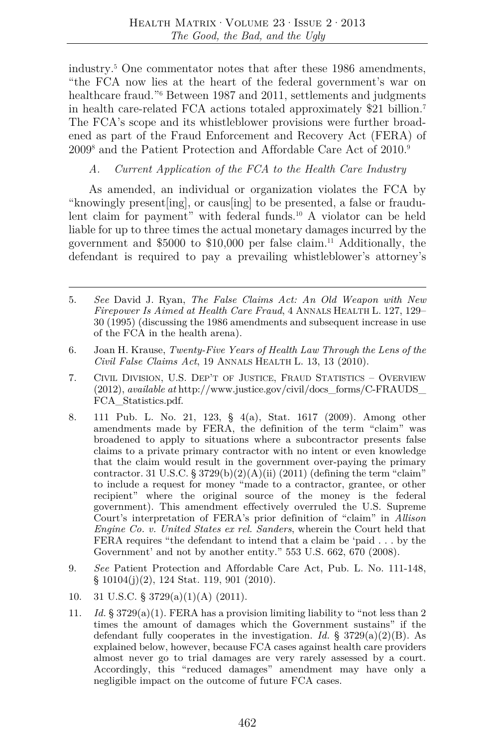industry.5 One commentator notes that after these 1986 amendments, "the FCA now lies at the heart of the federal government's war on healthcare fraud.<sup>"6</sup> Between 1987 and 2011, settlements and judgments in health care-related FCA actions totaled approximately \$21 billion.7 The FCA's scope and its whistleblower provisions were further broadened as part of the Fraud Enforcement and Recovery Act (FERA) of 2009<sup>8</sup> and the Patient Protection and Affordable Care Act of 2010.<sup>9</sup>

## *A. Current Application of the FCA to the Health Care Industry*

As amended, an individual or organization violates the FCA by "knowingly present[ing], or caus[ing] to be presented, a false or fraudulent claim for payment" with federal funds.10 A violator can be held liable for up to three times the actual monetary damages incurred by the government and \$5000 to \$10,000 per false claim.11 Additionally, the defendant is required to pay a prevailing whistleblower's attorney's

- 5. *See* David J. Ryan, *The False Claims Act: An Old Weapon with New Firepower Is Aimed at Health Care Fraud*, 4 ANNALS HEALTH L. 127, 129– 30 (1995) (discussing the 1986 amendments and subsequent increase in use of the FCA in the health arena).
- 6. Joan H. Krause, *Twenty-Five Years of Health Law Through the Lens of the Civil False Claims Act*, 19 ANNALS HEALTH L. 13, 13 (2010).
- 7. CIVIL DIVISION, U.S. DEP'T OF JUSTICE, FRAUD STATISTICS OVERVIEW (2012), *available at* http://www.justice.gov/civil/docs\_forms/C-FRAUDS\_ FCA\_Statistics.pdf.
- 8. 111 Pub. L. No. 21, 123, § 4(a), Stat. 1617 (2009). Among other amendments made by FERA, the definition of the term "claim" was broadened to apply to situations where a subcontractor presents false claims to a private primary contractor with no intent or even knowledge that the claim would result in the government over-paying the primary contractor. 31 U.S.C. § 3729(b)(2)(A)(ii) (2011) (defining the term "claim" to include a request for money "made to a contractor, grantee, or other recipient" where the original source of the money is the federal government). This amendment effectively overruled the U.S. Supreme Court's interpretation of FERA's prior definition of "claim" in *Allison Engine Co. v. United States ex rel. Sanders*, wherein the Court held that FERA requires "the defendant to intend that a claim be 'paid . . . by the Government' and not by another entity." 553 U.S. 662, 670 (2008).
- 9. *See* Patient Protection and Affordable Care Act, Pub. L. No. 111-148, § 10104(j)(2), 124 Stat. 119, 901 (2010).
- 10. 31 U.S.C. § 3729(a)(1)(A) (2011).
- 11. Id.  $\S 3729(a)(1)$ . FERA has a provision limiting liability to "not less than 2" times the amount of damages which the Government sustains" if the defendant fully cooperates in the investigation. *Id.*  $\S$  3729(a)(2)(B). As explained below, however, because FCA cases against health care providers almost never go to trial damages are very rarely assessed by a court. Accordingly, this "reduced damages" amendment may have only a negligible impact on the outcome of future FCA cases.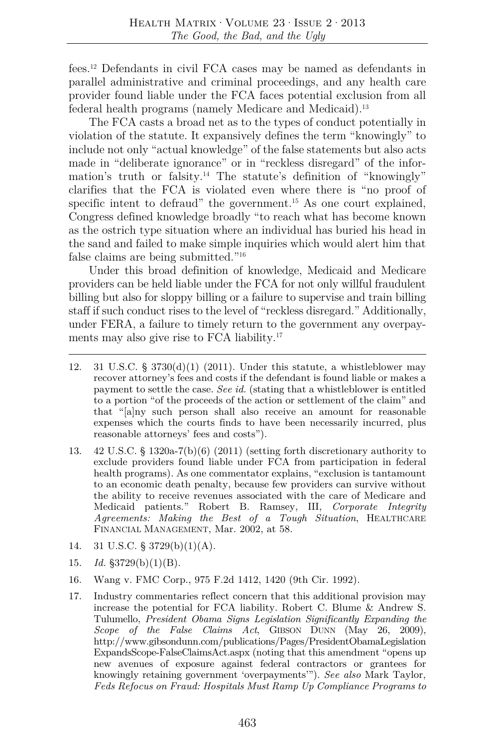fees.12 Defendants in civil FCA cases may be named as defendants in parallel administrative and criminal proceedings, and any health care provider found liable under the FCA faces potential exclusion from all federal health programs (namely Medicare and Medicaid).<sup>13</sup>

The FCA casts a broad net as to the types of conduct potentially in violation of the statute. It expansively defines the term "knowingly" to include not only "actual knowledge" of the false statements but also acts made in "deliberate ignorance" or in "reckless disregard" of the information's truth or falsity.<sup>14</sup> The statute's definition of "knowingly" clarifies that the FCA is violated even where there is "no proof of specific intent to defraud" the government.<sup>15</sup> As one court explained, Congress defined knowledge broadly "to reach what has become known as the ostrich type situation where an individual has buried his head in the sand and failed to make simple inquiries which would alert him that false claims are being submitted."16

Under this broad definition of knowledge, Medicaid and Medicare providers can be held liable under the FCA for not only willful fraudulent billing but also for sloppy billing or a failure to supervise and train billing staff if such conduct rises to the level of "reckless disregard." Additionally, under FERA, a failure to timely return to the government any overpayments may also give rise to FCA liability.17

- 12. 31 U.S.C. §  $3730(d)(1)$  (2011). Under this statute, a whistleblower may recover attorney's fees and costs if the defendant is found liable or makes a payment to settle the case. *See id.* (stating that a whistleblower is entitled to a portion "of the proceeds of the action or settlement of the claim" and that "[a]ny such person shall also receive an amount for reasonable expenses which the courts finds to have been necessarily incurred, plus reasonable attorneys' fees and costs").
- 13. 42 U.S.C. § 1320a-7(b)(6) (2011) (setting forth discretionary authority to exclude providers found liable under FCA from participation in federal health programs). As one commentator explains, "exclusion is tantamount to an economic death penalty, because few providers can survive without the ability to receive revenues associated with the care of Medicare and Medicaid patients." Robert B. Ramsey, III, *Corporate Integrity Agreements: Making the Best of a Tough Situation*, HEALTHCARE FINANCIAL MANAGEMENT, Mar. 2002, at 58.
- 14. 31 U.S.C. § 3729(b)(1)(A).
- 15. *Id.* §3729(b)(1)(B).
- 16. Wang v. FMC Corp., 975 F.2d 1412, 1420 (9th Cir. 1992).
- 17. Industry commentaries reflect concern that this additional provision may increase the potential for FCA liability. Robert C. Blume & Andrew S. Tulumello, *President Obama Signs Legislation Significantly Expanding the Scope of the False Claims Act*, GIBSON DUNN (May 26, 2009), http://www.gibsondunn.com/publications/Pages/PresidentObamaLegislation ExpandsScope-FalseClaimsAct.aspx (noting that this amendment "opens up new avenues of exposure against federal contractors or grantees for knowingly retaining government 'overpayments'"). *See also* Mark Taylor, *Feds Refocus on Fraud: Hospitals Must Ramp Up Compliance Programs to*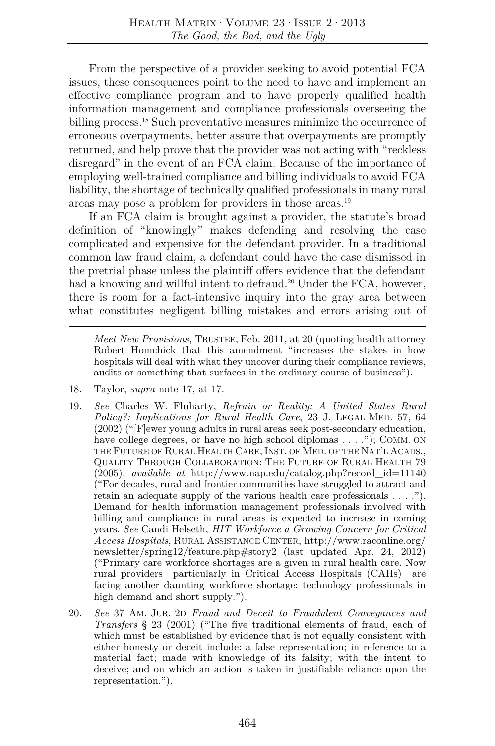From the perspective of a provider seeking to avoid potential FCA issues, these consequences point to the need to have and implement an effective compliance program and to have properly qualified health information management and compliance professionals overseeing the billing process.<sup>18</sup> Such preventative measures minimize the occurrence of erroneous overpayments, better assure that overpayments are promptly returned, and help prove that the provider was not acting with "reckless disregard" in the event of an FCA claim. Because of the importance of employing well-trained compliance and billing individuals to avoid FCA liability, the shortage of technically qualified professionals in many rural areas may pose a problem for providers in those areas.19

If an FCA claim is brought against a provider, the statute's broad definition of "knowingly" makes defending and resolving the case complicated and expensive for the defendant provider. In a traditional common law fraud claim, a defendant could have the case dismissed in the pretrial phase unless the plaintiff offers evidence that the defendant had a knowing and willful intent to defraud.<sup>20</sup> Under the FCA, however, there is room for a fact-intensive inquiry into the gray area between what constitutes negligent billing mistakes and errors arising out of

*Meet New Provisions*, TRUSTEE, Feb. 2011, at 20 (quoting health attorney Robert Homchick that this amendment "increases the stakes in how hospitals will deal with what they uncover during their compliance reviews, audits or something that surfaces in the ordinary course of business").

- 18. Taylor, *supra* note 17, at 17.
- 19. *See* Charles W. Fluharty, *Refrain or Reality: A United States Rural Policy?: Implications for Rural Health Care*, 23 J. LEGAL MED. 57, 64 (2002) ("[F]ewer young adults in rural areas seek post-secondary education, have college degrees, or have no high school diplomas . . . ."); COMM. ON THE FUTURE OF RURAL HEALTH CARE, INST. OF MED. OF THE NAT'L ACADS., QUALITY THROUGH COLLABORATION: THE FUTURE OF RURAL HEALTH 79 (2005), *available at* http://www.nap.edu/catalog.php?record\_id=11140 ("For decades, rural and frontier communities have struggled to attract and retain an adequate supply of the various health care professionals . . . ."). Demand for health information management professionals involved with billing and compliance in rural areas is expected to increase in coming years. *See* Candi Helseth, *HIT Workforce a Growing Concern for Critical Access Hospitals*, RURAL ASSISTANCE CENTER, http://www.raconline.org/ newsletter/spring12/feature.php#story2 (last updated Apr. 24, 2012) ("Primary care workforce shortages are a given in rural health care. Now rural providers—particularly in Critical Access Hospitals (CAHs)—are facing another daunting workforce shortage: technology professionals in high demand and short supply.").
- 20. *See* 37 AM. JUR. 2D *Fraud and Deceit to Fraudulent Conveyances and Transfers* § 23 (2001) ("The five traditional elements of fraud, each of which must be established by evidence that is not equally consistent with either honesty or deceit include: a false representation; in reference to a material fact; made with knowledge of its falsity; with the intent to deceive; and on which an action is taken in justifiable reliance upon the representation.").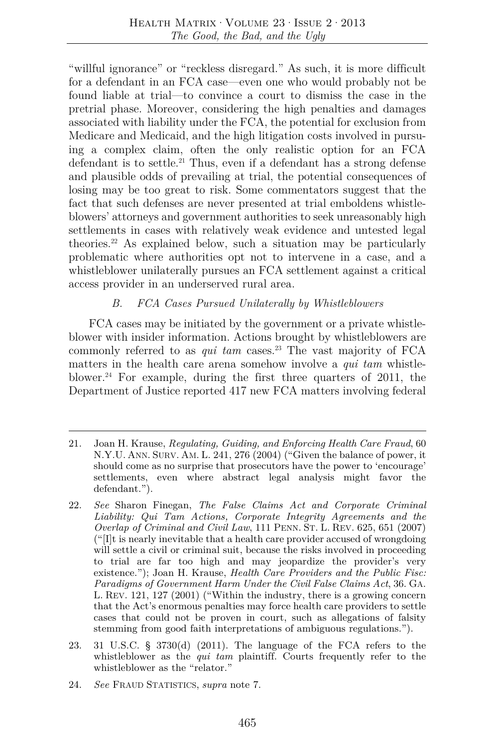"willful ignorance" or "reckless disregard." As such, it is more difficult for a defendant in an FCA case—even one who would probably not be found liable at trial—to convince a court to dismiss the case in the pretrial phase. Moreover, considering the high penalties and damages associated with liability under the FCA, the potential for exclusion from Medicare and Medicaid, and the high litigation costs involved in pursuing a complex claim, often the only realistic option for an FCA defendant is to settle.<sup>21</sup> Thus, even if a defendant has a strong defense and plausible odds of prevailing at trial, the potential consequences of losing may be too great to risk. Some commentators suggest that the fact that such defenses are never presented at trial emboldens whistleblowers' attorneys and government authorities to seek unreasonably high settlements in cases with relatively weak evidence and untested legal theories.22 As explained below, such a situation may be particularly problematic where authorities opt not to intervene in a case, and a whistleblower unilaterally pursues an FCA settlement against a critical access provider in an underserved rural area.

# *B. FCA Cases Pursued Unilaterally by Whistleblowers*

FCA cases may be initiated by the government or a private whistleblower with insider information. Actions brought by whistleblowers are commonly referred to as *qui tam* cases.23 The vast majority of FCA matters in the health care arena somehow involve a *qui tam* whistleblower.24 For example, during the first three quarters of 2011, the Department of Justice reported 417 new FCA matters involving federal

- 21. Joan H. Krause, *Regulating, Guiding, and Enforcing Health Care Fraud*, 60 N.Y.U. ANN. SURV. AM. L. 241, 276 (2004) ("Given the balance of power, it should come as no surprise that prosecutors have the power to 'encourage' settlements, even where abstract legal analysis might favor the defendant.").
- 22. *See* Sharon Finegan, *The False Claims Act and Corporate Criminal Liability: Qui Tam Actions, Corporate Integrity Agreements and the Overlap of Criminal and Civil Law*, 111 PENN. ST. L. REV. 625, 651 (2007)  $\frac{d}{dx}$  ("[I]t is nearly inevitable that a health care provider accused of wrongdoing will settle a civil or criminal suit, because the risks involved in proceeding to trial are far too high and may jeopardize the provider's very existence."); Joan H. Krause, *Health Care Providers and the Public Fisc: Paradigms of Government Harm Under the Civil False Claims Act*, 36. GA. L. REV. 121, 127 (2001) ("Within the industry, there is a growing concern that the Act's enormous penalties may force health care providers to settle cases that could not be proven in court, such as allegations of falsity stemming from good faith interpretations of ambiguous regulations.").
- 23. 31 U.S.C. § 3730(d) (2011). The language of the FCA refers to the whistleblower as the *qui tam* plaintiff. Courts frequently refer to the whistleblower as the "relator."
- 24. *See* FRAUD STATISTICS, *supra* note 7.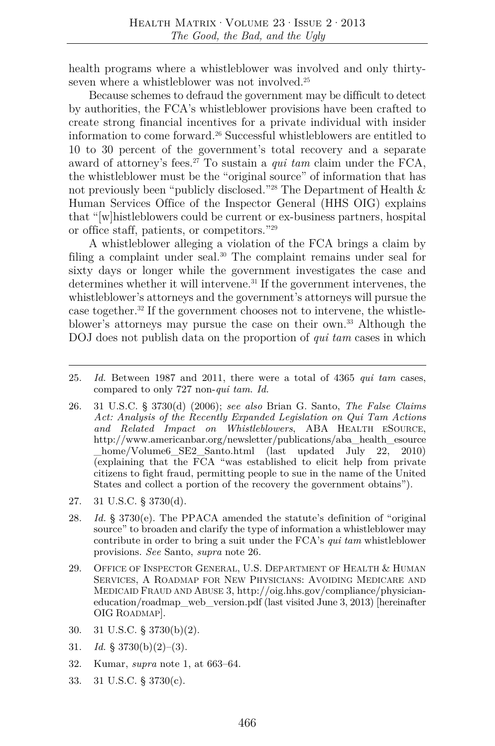health programs where a whistleblower was involved and only thirtyseven where a whistleblower was not involved.<sup>25</sup>

Because schemes to defraud the government may be difficult to detect by authorities, the FCA's whistleblower provisions have been crafted to create strong financial incentives for a private individual with insider information to come forward.26 Successful whistleblowers are entitled to 10 to 30 percent of the government's total recovery and a separate award of attorney's fees.27 To sustain a *qui tam* claim under the FCA, the whistleblower must be the "original source" of information that has not previously been "publicly disclosed."28 The Department of Health & Human Services Office of the Inspector General (HHS OIG) explains that "[w]histleblowers could be current or ex-business partners, hospital or office staff, patients, or competitors."29

A whistleblower alleging a violation of the FCA brings a claim by filing a complaint under seal.<sup>30</sup> The complaint remains under seal for sixty days or longer while the government investigates the case and determines whether it will intervene.<sup>31</sup> If the government intervenes, the whistleblower's attorneys and the government's attorneys will pursue the case together.32 If the government chooses not to intervene, the whistleblower's attorneys may pursue the case on their own.33 Although the DOJ does not publish data on the proportion of *qui tam* cases in which

- 27. 31 U.S.C. § 3730(d).
- 28. *Id.* § 3730(e). The PPACA amended the statute's definition of "original source" to broaden and clarify the type of information a whistleblower may contribute in order to bring a suit under the FCA's *qui tam* whistleblower provisions. *See* Santo, *supra* note 26.
- 29. OFFICE OF INSPECTOR GENERAL, U.S. DEPARTMENT OF HEALTH & HUMAN SERVICES, A ROADMAP FOR NEW PHYSICIANS: AVOIDING MEDICARE AND MEDICAID FRAUD AND ABUSE 3, http://oig.hhs.gov/compliance/physicianeducation/roadmap\_web\_version.pdf (last visited June 3, 2013) [hereinafter OIG ROADMAP].
- 30. 31 U.S.C. § 3730(b)(2).
- 31. *Id.* § 3730(b)(2)–(3).
- 32. Kumar, *supra* note 1, at 663–64.
- 33. 31 U.S.C. § 3730(c).

<sup>25.</sup> *Id.* Between 1987 and 2011, there were a total of 4365 *qui tam* cases, compared to only 727 non-*qui tam*. *Id.*

<sup>26. 31</sup> U.S.C. § 3730(d) (2006); *see also* Brian G. Santo, *The False Claims Act: Analysis of the Recently Expanded Legislation on Qui Tam Actions and Related Impact on Whistleblowers*, ABA HEALTH ESOURCE, http://www.americanbar.org/newsletter/publications/aba\_health\_esource \_home/Volume6\_SE2\_Santo.html (last updated July 22, 2010) (explaining that the FCA "was established to elicit help from private citizens to fight fraud, permitting people to sue in the name of the United States and collect a portion of the recovery the government obtains").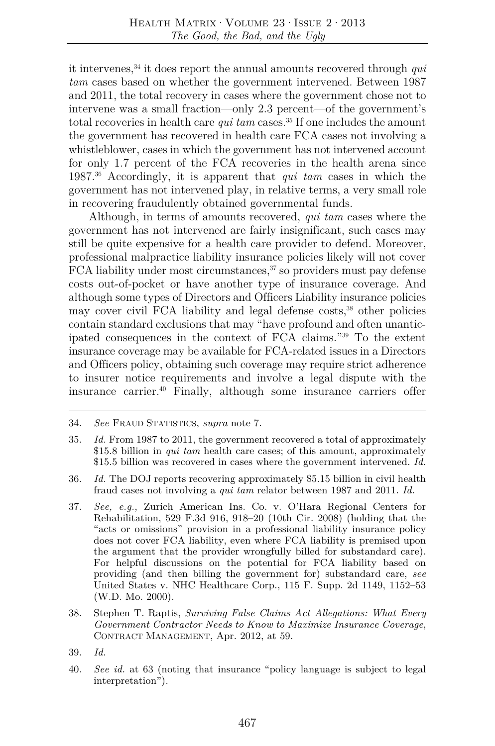it intervenes,34 it does report the annual amounts recovered through *qui tam* cases based on whether the government intervened. Between 1987 and 2011, the total recovery in cases where the government chose not to intervene was a small fraction—only 2.3 percent—of the government's total recoveries in health care *qui tam* cases.<sup>35</sup> If one includes the amount the government has recovered in health care FCA cases not involving a whistleblower, cases in which the government has not intervened account for only 1.7 percent of the FCA recoveries in the health arena since 1987.36 Accordingly, it is apparent that *qui tam* cases in which the government has not intervened play, in relative terms, a very small role in recovering fraudulently obtained governmental funds.

Although, in terms of amounts recovered, *qui tam* cases where the government has not intervened are fairly insignificant, such cases may still be quite expensive for a health care provider to defend. Moreover, professional malpractice liability insurance policies likely will not cover  $FCA$  liability under most circumstances,  $37$  so providers must pay defense costs out-of-pocket or have another type of insurance coverage. And although some types of Directors and Officers Liability insurance policies may cover civil FCA liability and legal defense costs,<sup>38</sup> other policies contain standard exclusions that may "have profound and often unanticipated consequences in the context of FCA claims."39 To the extent insurance coverage may be available for FCA-related issues in a Directors and Officers policy, obtaining such coverage may require strict adherence to insurer notice requirements and involve a legal dispute with the insurance carrier.40 Finally, although some insurance carriers offer

- 36. *Id.* The DOJ reports recovering approximately \$5.15 billion in civil health fraud cases not involving a *qui tam* relator between 1987 and 2011. *Id.*
- 37. *See, e.g.*, Zurich American Ins. Co. v. O'Hara Regional Centers for Rehabilitation, 529 F.3d 916, 918–20 (10th Cir. 2008) (holding that the "acts or omissions" provision in a professional liability insurance policy does not cover FCA liability, even where FCA liability is premised upon the argument that the provider wrongfully billed for substandard care). For helpful discussions on the potential for FCA liability based on providing (and then billing the government for) substandard care, *see* United States v. NHC Healthcare Corp., 115 F. Supp. 2d 1149, 1152–53 (W.D. Mo. 2000).
- 38. Stephen T. Raptis, *Surviving False Claims Act Allegations: What Every Government Contractor Needs to Know to Maximize Insurance Coverage*, CONTRACT MANAGEMENT, Apr. 2012, at 59.
- 39. *Id.*
- 40*. See id.* at 63 (noting that insurance "policy language is subject to legal interpretation").

<sup>34.</sup> *See* FRAUD STATISTICS, *supra* note 7.

<sup>35.</sup> *Id.* From 1987 to 2011, the government recovered a total of approximately \$15.8 billion in *qui tam* health care cases; of this amount, approximately \$15.5 billion was recovered in cases where the government intervened. *Id.*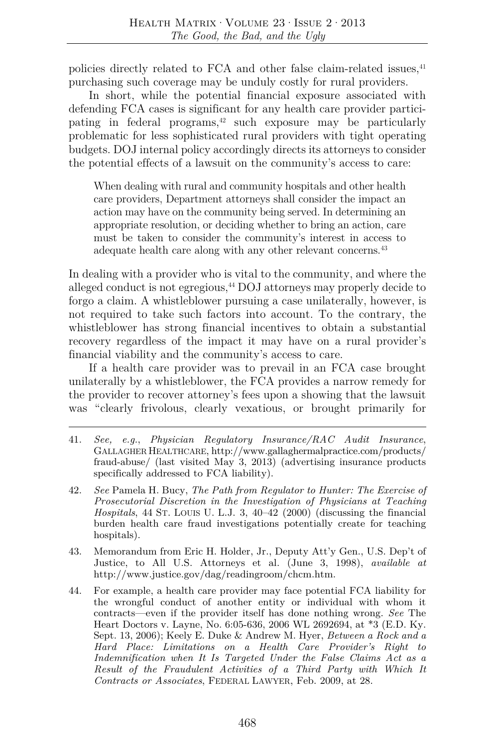policies directly related to FCA and other false claim-related issues.<sup>41</sup> purchasing such coverage may be unduly costly for rural providers.

In short, while the potential financial exposure associated with defending FCA cases is significant for any health care provider participating in federal programs, $42$  such exposure may be particularly problematic for less sophisticated rural providers with tight operating budgets. DOJ internal policy accordingly directs its attorneys to consider the potential effects of a lawsuit on the community's access to care:

When dealing with rural and community hospitals and other health care providers, Department attorneys shall consider the impact an action may have on the community being served. In determining an appropriate resolution, or deciding whether to bring an action, care must be taken to consider the community's interest in access to adequate health care along with any other relevant concerns.<sup>43</sup>

In dealing with a provider who is vital to the community, and where the alleged conduct is not egregious,<sup>44</sup> DOJ attorneys may properly decide to forgo a claim. A whistleblower pursuing a case unilaterally, however, is not required to take such factors into account. To the contrary, the whistleblower has strong financial incentives to obtain a substantial recovery regardless of the impact it may have on a rural provider's financial viability and the community's access to care.

If a health care provider was to prevail in an FCA case brought unilaterally by a whistleblower, the FCA provides a narrow remedy for the provider to recover attorney's fees upon a showing that the lawsuit was "clearly frivolous, clearly vexatious, or brought primarily for

- 41. *See, e.g.*, *Physician Regulatory Insurance/RAC Audit Insurance*, GALLAGHER HEALTHCARE, http://www.gallaghermalpractice.com/products/ fraud-abuse/ (last visited May 3, 2013) (advertising insurance products specifically addressed to FCA liability).
- 42. *See* Pamela H. Bucy, *The Path from Regulator to Hunter: The Exercise of Prosecutorial Discretion in the Investigation of Physicians at Teaching Hospitals*, 44 ST. LOUIS U. L.J. 3, 40–42 (2000) (discussing the financial burden health care fraud investigations potentially create for teaching hospitals).
- 43. Memorandum from Eric H. Holder, Jr., Deputy Att'y Gen., U.S. Dep't of Justice, to All U.S. Attorneys et al. (June 3, 1998), *available at* http://www.justice.gov/dag/readingroom/chcm.htm.
- 44. For example, a health care provider may face potential FCA liability for the wrongful conduct of another entity or individual with whom it contracts—even if the provider itself has done nothing wrong. *See* The Heart Doctors v. Layne, No. 6:05-636, 2006 WL 2692694, at \*3 (E.D. Ky. Sept. 13, 2006); Keely E. Duke & Andrew M. Hyer, *Between a Rock and a Hard Place: Limitations on a Health Care Provider's Right to Indemnification when It Is Targeted Under the False Claims Act as a Result of the Fraudulent Activities of a Third Party with Which It Contracts or Associates*, FEDERAL LAWYER, Feb. 2009, at 28.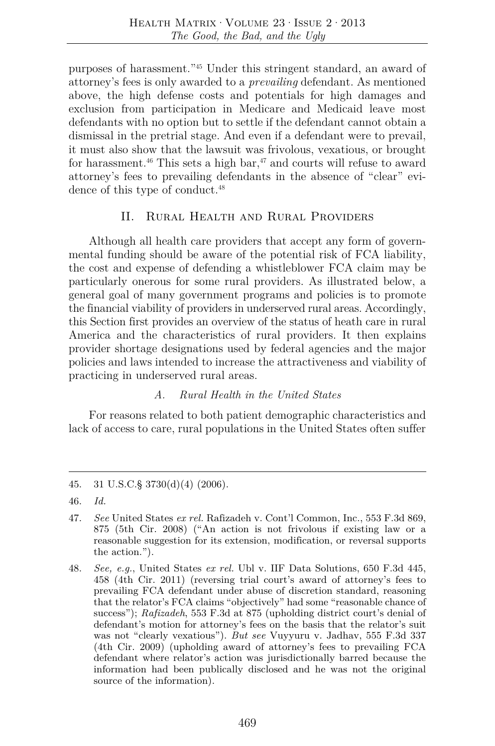purposes of harassment."45 Under this stringent standard, an award of attorney's fees is only awarded to a *prevailing* defendant. As mentioned above, the high defense costs and potentials for high damages and exclusion from participation in Medicare and Medicaid leave most defendants with no option but to settle if the defendant cannot obtain a dismissal in the pretrial stage. And even if a defendant were to prevail, it must also show that the lawsuit was frivolous, vexatious, or brought for harassment.<sup>46</sup> This sets a high bar,<sup>47</sup> and courts will refuse to award attorney's fees to prevailing defendants in the absence of "clear" evidence of this type of conduct.<sup>48</sup>

# II. Rural Health and Rural Providers

Although all health care providers that accept any form of governmental funding should be aware of the potential risk of FCA liability, the cost and expense of defending a whistleblower FCA claim may be particularly onerous for some rural providers. As illustrated below, a general goal of many government programs and policies is to promote the financial viability of providers in underserved rural areas. Accordingly, this Section first provides an overview of the status of heath care in rural America and the characteristics of rural providers. It then explains provider shortage designations used by federal agencies and the major policies and laws intended to increase the attractiveness and viability of practicing in underserved rural areas.

#### *A. Rural Health in the United States*

For reasons related to both patient demographic characteristics and lack of access to care, rural populations in the United States often suffer

<sup>45. 31</sup> U.S.C.§ 3730(d)(4) (2006).

<sup>46.</sup> *Id.*

<sup>47.</sup> *See* United States *ex rel.* Rafizadeh v. Cont'l Common, Inc., 553 F.3d 869, 875 (5th Cir. 2008) ("An action is not frivolous if existing law or a reasonable suggestion for its extension, modification, or reversal supports the action.").

<sup>48.</sup> *See, e.g.*, United States *ex rel.* Ubl v. IIF Data Solutions, 650 F.3d 445, 458 (4th Cir. 2011) (reversing trial court's award of attorney's fees to prevailing FCA defendant under abuse of discretion standard, reasoning that the relator's FCA claims "objectively" had some "reasonable chance of success"); *Rafizadeh*, 553 F.3d at 875 (upholding district court's denial of defendant's motion for attorney's fees on the basis that the relator's suit was not "clearly vexatious"). *But see* Vuyyuru v. Jadhav, 555 F.3d 337 (4th Cir. 2009) (upholding award of attorney's fees to prevailing FCA defendant where relator's action was jurisdictionally barred because the information had been publically disclosed and he was not the original source of the information).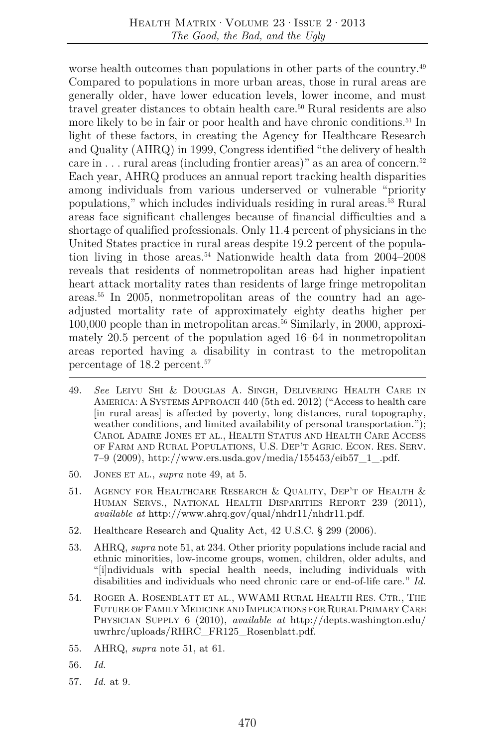worse health outcomes than populations in other parts of the country.<sup>49</sup> Compared to populations in more urban areas, those in rural areas are generally older, have lower education levels, lower income, and must travel greater distances to obtain health care.<sup>50</sup> Rural residents are also more likely to be in fair or poor health and have chronic conditions.<sup>51</sup> In light of these factors, in creating the Agency for Healthcare Research and Quality (AHRQ) in 1999, Congress identified "the delivery of health care in  $\dots$  rural areas (including frontier areas)" as an area of concern.<sup>52</sup> Each year, AHRQ produces an annual report tracking health disparities among individuals from various underserved or vulnerable "priority populations," which includes individuals residing in rural areas.53 Rural areas face significant challenges because of financial difficulties and a shortage of qualified professionals. Only 11.4 percent of physicians in the United States practice in rural areas despite 19.2 percent of the population living in those areas.<sup>54</sup> Nationwide health data from  $2004-2008$ reveals that residents of nonmetropolitan areas had higher inpatient heart attack mortality rates than residents of large fringe metropolitan areas.55 In 2005, nonmetropolitan areas of the country had an ageadjusted mortality rate of approximately eighty deaths higher per  $100,000$  people than in metropolitan areas.<sup>56</sup> Similarly, in 2000, approximately 20.5 percent of the population aged 16–64 in nonmetropolitan areas reported having a disability in contrast to the metropolitan percentage of 18.2 percent.57

- 49. *See* LEIYU SHI & DOUGLAS A. SINGH, DELIVERING HEALTH CARE IN AMERICA: A SYSTEMS APPROACH 440 (5th ed. 2012) ("Access to health care [in rural areas] is affected by poverty, long distances, rural topography, weather conditions, and limited availability of personal transportation."); CAROL ADAIRE JONES ET AL., HEALTH STATUS AND HEALTH CARE ACCESS OF FARM AND RURAL POPULATIONS, U.S. DEP'T AGRIC. ECON. RES. SERV. 7–9 (2009), http://www.ers.usda.gov/media/155453/eib57\_1\_.pdf.
- 50. JONES ET AL., *supra* note 49, at 5.
- 51. AGENCY FOR HEALTHCARE RESEARCH & QUALITY, DEP'T OF HEALTH & HUMAN SERVS., NATIONAL HEALTH DISPARITIES REPORT 239 (2011)*, available at* http://www.ahrq.gov/qual/nhdr11/nhdr11.pdf.
- 52. Healthcare Research and Quality Act, 42 U.S.C. § 299 (2006).
- 53. AHRQ, *supra* note 51, at 234. Other priority populations include racial and ethnic minorities, low-income groups, women, children, older adults, and "[i]ndividuals with special health needs, including individuals with disabilities and individuals who need chronic care or end-of-life care." *Id.*
- 54. ROGER A. ROSENBLATT ET AL., WWAMI RURAL HEALTH RES. CTR., THE FUTURE OF FAMILY MEDICINE AND IMPLICATIONS FOR RURAL PRIMARY CARE PHYSICIAN SUPPLY 6 (2010), *available at* http://depts.washington.edu/ uwrhrc/uploads/RHRC\_FR125\_Rosenblatt.pdf.
- 55. AHRQ, *supra* note 51, at 61.
- 56. *Id*.
- 57. *Id.* at 9.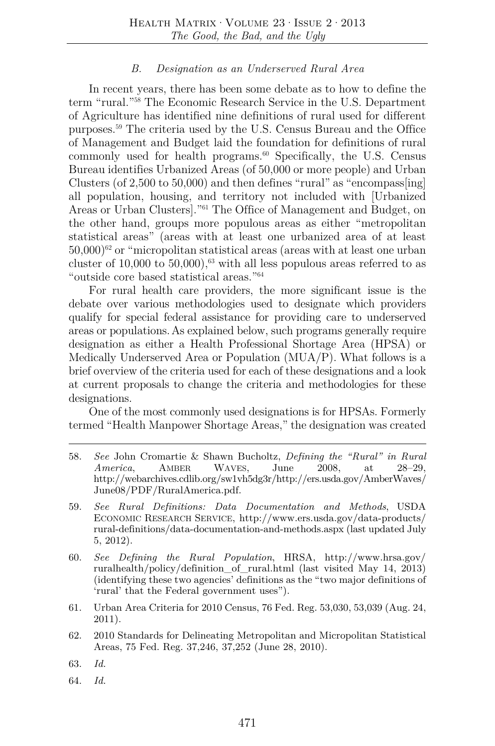#### *B. Designation as an Underserved Rural Area*

In recent years, there has been some debate as to how to define the term "rural."58 The Economic Research Service in the U.S. Department of Agriculture has identified nine definitions of rural used for different purposes.59 The criteria used by the U.S. Census Bureau and the Office of Management and Budget laid the foundation for definitions of rural commonly used for health programs. $60$  Specifically, the U.S. Census Bureau identifies Urbanized Areas (of 50,000 or more people) and Urban Clusters (of 2,500 to 50,000) and then defines "rural" as "encompass[ing] all population, housing, and territory not included with [Urbanized Areas or Urban Clusters]."61 The Office of Management and Budget, on the other hand, groups more populous areas as either "metropolitan statistical areas" (areas with at least one urbanized area of at least  $50,000$ <sup>62</sup> or "micropolitan statistical areas (areas with at least one urban cluster of 10,000 to 50,000), $^{63}$  with all less populous areas referred to as "outside core based statistical areas."64

For rural health care providers, the more significant issue is the debate over various methodologies used to designate which providers qualify for special federal assistance for providing care to underserved areas or populations.As explained below, such programs generally require designation as either a Health Professional Shortage Area (HPSA) or Medically Underserved Area or Population (MUA/P). What follows is a brief overview of the criteria used for each of these designations and a look at current proposals to change the criteria and methodologies for these designations.

One of the most commonly used designations is for HPSAs. Formerly termed "Health Manpower Shortage Areas," the designation was created

- 58. *See* John Cromartie & Shawn Bucholtz, *Defining the "Rural" in Rural America*, AMBER WAVES, June 2008, at 28–29, http://webarchives.cdlib.org/sw1vh5dg3r/http://ers.usda.gov/AmberWaves/ June08/PDF/RuralAmerica.pdf.
- 59. *See Rural Definitions: Data Documentation and Methods*, USDA ECONOMIC RESEARCH SERVICE, http://www.ers.usda.gov/data-products/ rural-definitions/data-documentation-and-methods.aspx (last updated July 5, 2012).
- 60. *See Defining the Rural Population*, HRSA, http://www.hrsa.gov/ ruralhealth/policy/definition\_of\_rural.html (last visited May 14, 2013) (identifying these two agencies' definitions as the "two major definitions of 'rural' that the Federal government uses").
- 61. Urban Area Criteria for 2010 Census, 76 Fed. Reg. 53,030, 53,039 (Aug. 24, 2011).
- 62. 2010 Standards for Delineating Metropolitan and Micropolitan Statistical Areas, 75 Fed. Reg. 37,246, 37,252 (June 28, 2010).

64. *Id.* 

<sup>63.</sup> *Id.*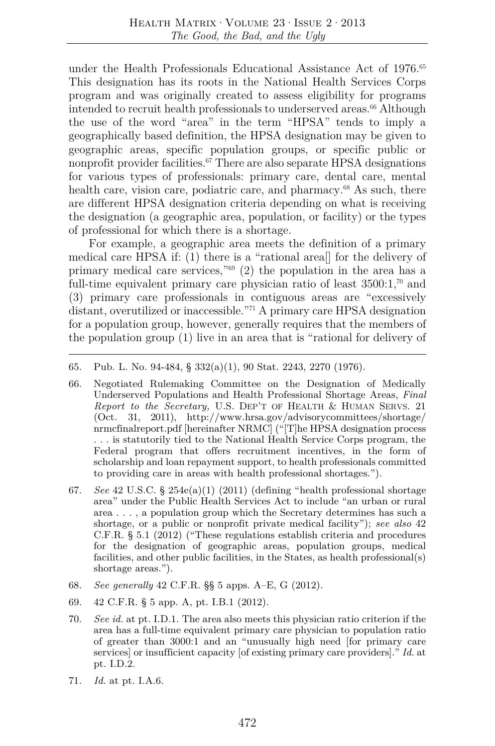under the Health Professionals Educational Assistance Act of 1976.<sup>65</sup> This designation has its roots in the National Health Services Corps program and was originally created to assess eligibility for programs intended to recruit health professionals to underserved areas.<sup>66</sup> Although the use of the word "area" in the term "HPSA" tends to imply a geographically based definition, the HPSA designation may be given to geographic areas, specific population groups, or specific public or nonprofit provider facilities.<sup> $67$ </sup> There are also separate HPSA designations for various types of professionals: primary care, dental care, mental health care, vision care, podiatric care, and pharmacy.<sup>68</sup> As such, there are different HPSA designation criteria depending on what is receiving the designation (a geographic area, population, or facility) or the types of professional for which there is a shortage.

For example, a geographic area meets the definition of a primary medical care HPSA if: (1) there is a "rational area[] for the delivery of primary medical care services," $69$  (2) the population in the area has a full-time equivalent primary care physician ratio of least  $3500:1$ ,<sup>70</sup> and (3) primary care professionals in contiguous areas are "excessively distant, overutilized or inaccessible."<sup>71</sup> A primary care HPSA designation for a population group, however, generally requires that the members of the population group (1) live in an area that is "rational for delivery of

- 66. Negotiated Rulemaking Committee on the Designation of Medically Underserved Populations and Health Professional Shortage Areas, *Final Report to the Secretary,* U.S. DEP'T OF HEALTH & HUMAN SERVS. 21 (Oct. 31, 2011), http://www.hrsa.gov/advisorycommittees/shortage/ nrmcfinalreport.pdf [hereinafter NRMC] ("[T]he HPSA designation process . . . is statutorily tied to the National Health Service Corps program, the Federal program that offers recruitment incentives, in the form of scholarship and loan repayment support, to health professionals committed to providing care in areas with health professional shortages.").
- 67. *See* 42 U.S.C. § 254e(a)(1) (2011) (defining "health professional shortage area" under the Public Health Services Act to include "an urban or rural area . . . , a population group which the Secretary determines has such a shortage, or a public or nonprofit private medical facility"); *see also* 42 C.F.R. § 5.1 (2012) ("These regulations establish criteria and procedures for the designation of geographic areas, population groups, medical facilities, and other public facilities, in the States, as health professional(s) shortage areas.").
- 68. *See generally* 42 C.F.R. §§ 5 apps. A–E, G (2012).
- 69. 42 C.F.R. § 5 app. A, pt. I.B.1 (2012).
- 70. *See id.* at pt. I.D.1. The area also meets this physician ratio criterion if the area has a full-time equivalent primary care physician to population ratio of greater than 3000:1 and an "unusually high need [for primary care services] or insufficient capacity [of existing primary care providers]." *Id.* at pt. I.D.2.
- 71. *Id.* at pt. I.A.6.

<sup>65.</sup> Pub. L. No. 94-484, § 332(a)(1), 90 Stat. 2243, 2270 (1976).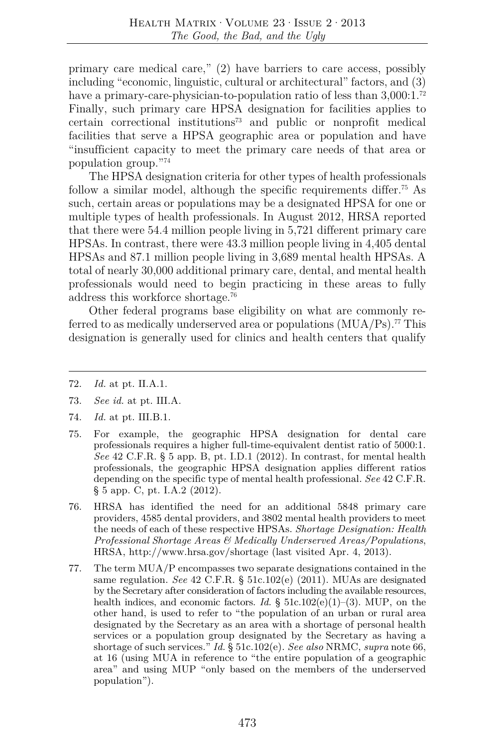primary care medical care," (2) have barriers to care access, possibly including "economic, linguistic, cultural or architectural" factors, and (3) have a primary-care-physician-to-population ratio of less than 3,000:1.<sup>72</sup> Finally, such primary care HPSA designation for facilities applies to certain correctional institutions73 and public or nonprofit medical facilities that serve a HPSA geographic area or population and have "insufficient capacity to meet the primary care needs of that area or population group."74

The HPSA designation criteria for other types of health professionals follow a similar model, although the specific requirements differ.<sup>75</sup> As such, certain areas or populations may be a designated HPSA for one or multiple types of health professionals. In August 2012, HRSA reported that there were 54.4 million people living in 5,721 different primary care HPSAs. In contrast, there were 43.3 million people living in 4,405 dental HPSAs and 87.1 million people living in 3,689 mental health HPSAs. A total of nearly 30,000 additional primary care, dental, and mental health professionals would need to begin practicing in these areas to fully address this workforce shortage.76

Other federal programs base eligibility on what are commonly referred to as medically underserved area or populations  $(MUA/Ps)$ .<sup>77</sup> This designation is generally used for clinics and health centers that qualify

- 72. *Id.* at pt. II.A.1.
- 73. *See id.* at pt. III.A.
- 74. *Id.* at pt. III.B.1.
- 75. For example, the geographic HPSA designation for dental care professionals requires a higher full-time-equivalent dentist ratio of 5000:1. *See* 42 C.F.R. § 5 app. B, pt. I.D.1 (2012). In contrast, for mental health professionals, the geographic HPSA designation applies different ratios depending on the specific type of mental health professional. *See* 42 C.F.R. § 5 app. C, pt. I.A.2 (2012).
- 76. HRSA has identified the need for an additional 5848 primary care providers, 4585 dental providers, and 3802 mental health providers to meet the needs of each of these respective HPSAs. *Shortage Designation: Health Professional Shortage Areas & Medically Underserved Areas/Populations*, HRSA, http://www.hrsa.gov/shortage (last visited Apr. 4, 2013).
- 77. The term MUA/P encompasses two separate designations contained in the same regulation. *See* 42 C.F.R. § 51c.102(e) (2011). MUAs are designated by the Secretary after consideration of factors including the available resources, health indices, and economic factors. *Id.* § 51c.102(e)(1)–(3). MUP, on the other hand, is used to refer to "the population of an urban or rural area designated by the Secretary as an area with a shortage of personal health services or a population group designated by the Secretary as having a shortage of such services." *Id.* § 51c.102(e). *See also* NRMC, *supra* note 66, at 16 (using MUA in reference to "the entire population of a geographic area" and using MUP "only based on the members of the underserved population").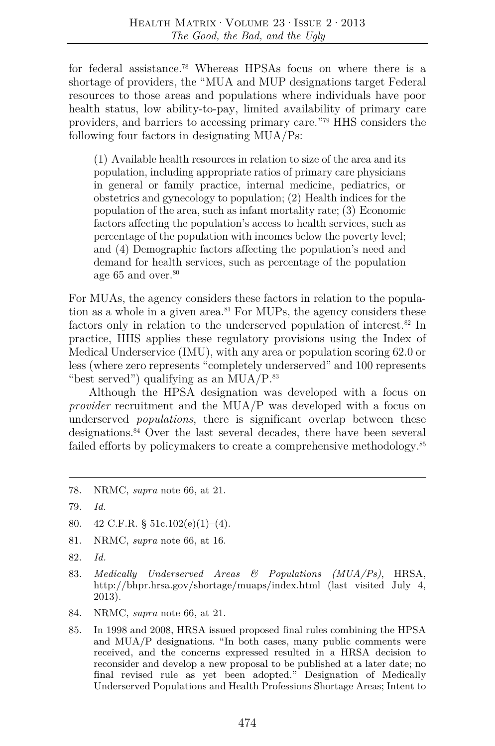for federal assistance.78 Whereas HPSAs focus on where there is a shortage of providers, the "MUA and MUP designations target Federal resources to those areas and populations where individuals have poor health status, low ability-to-pay, limited availability of primary care providers, and barriers to accessing primary care."79 HHS considers the following four factors in designating MUA/Ps:

(1) Available health resources in relation to size of the area and its population, including appropriate ratios of primary care physicians in general or family practice, internal medicine, pediatrics, or obstetrics and gynecology to population; (2) Health indices for the population of the area, such as infant mortality rate; (3) Economic factors affecting the population's access to health services, such as percentage of the population with incomes below the poverty level; and (4) Demographic factors affecting the population's need and demand for health services, such as percentage of the population age  $65$  and over. $80$ 

For MUAs, the agency considers these factors in relation to the population as a whole in a given area.<sup>81</sup> For MUPs, the agency considers these factors only in relation to the underserved population of interest.<sup>82</sup> In practice, HHS applies these regulatory provisions using the Index of Medical Underservice (IMU), with any area or population scoring 62.0 or less (where zero represents "completely underserved" and 100 represents "best served") qualifying as an  $MUA/P$ .<sup>83</sup>

Although the HPSA designation was developed with a focus on *provider* recruitment and the MUA/P was developed with a focus on underserved *populations*, there is significant overlap between these designations.<sup>84</sup> Over the last several decades, there have been several failed efforts by policymakers to create a comprehensive methodology.<sup>85</sup>

- 81. NRMC, *supra* note 66, at 16.
- 82. *Id.*
- 83. *Medically Underserved Areas & Populations (MUA/Ps)*, HRSA, http://bhpr.hrsa.gov/shortage/muaps/index.html (last visited July 4, 2013).
- 84. NRMC, *supra* note 66, at 21.
- 85. In 1998 and 2008, HRSA issued proposed final rules combining the HPSA and MUA/P designations. "In both cases, many public comments were received, and the concerns expressed resulted in a HRSA decision to reconsider and develop a new proposal to be published at a later date; no final revised rule as yet been adopted." Designation of Medically Underserved Populations and Health Professions Shortage Areas; Intent to

<sup>78.</sup> NRMC, *supra* note 66, at 21.

<sup>79.</sup> *Id.* 

<sup>80. 42</sup> C.F.R. § 51c.102(e)(1)–(4).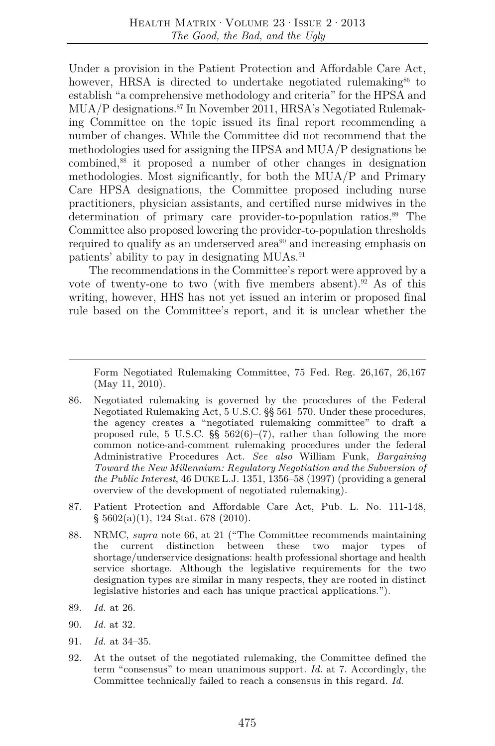Under a provision in the Patient Protection and Affordable Care Act, however, HRSA is directed to undertake negotiated rulemaking  $66$  to establish "a comprehensive methodology and criteria" for the HPSA and MUA/P designations.<sup>87</sup> In November 2011, HRSA's Negotiated Rulemaking Committee on the topic issued its final report recommending a number of changes. While the Committee did not recommend that the methodologies used for assigning the HPSA and MUA/P designations be combined,88 it proposed a number of other changes in designation methodologies. Most significantly, for both the MUA/P and Primary Care HPSA designations, the Committee proposed including nurse practitioners, physician assistants, and certified nurse midwives in the determination of primary care provider-to-population ratios.<sup>89</sup> The Committee also proposed lowering the provider-to-population thresholds required to qualify as an underserved area<sup>90</sup> and increasing emphasis on patients' ability to pay in designating MUAs.<sup>91</sup>

The recommendations in the Committee's report were approved by a vote of twenty-one to two (with five members absent).<sup>92</sup> As of this writing, however, HHS has not yet issued an interim or proposed final rule based on the Committee's report, and it is unclear whether the

Form Negotiated Rulemaking Committee, 75 Fed. Reg. 26,167, 26,167 (May 11, 2010).

- 86. Negotiated rulemaking is governed by the procedures of the Federal Negotiated Rulemaking Act, 5 U.S.C. §§ 561–570. Under these procedures, the agency creates a "negotiated rulemaking committee" to draft a proposed rule, 5 U.S.C.  $\S$  562(6)–(7), rather than following the more common notice-and-comment rulemaking procedures under the federal Administrative Procedures Act. *See also* William Funk, *Bargaining Toward the New Millennium: Regulatory Negotiation and the Subversion of the Public Interest*, 46 DUKE L.J. 1351, 1356–58 (1997) (providing a general overview of the development of negotiated rulemaking).
- 87. Patient Protection and Affordable Care Act, Pub. L. No. 111-148, § 5602(a)(1), 124 Stat. 678 (2010).
- 88. NRMC, *supra* note 66, at 21 ("The Committee recommends maintaining the current distinction between these two major types of shortage/underservice designations: health professional shortage and health service shortage. Although the legislative requirements for the two designation types are similar in many respects, they are rooted in distinct legislative histories and each has unique practical applications.").
- 89. *Id.* at 26.
- 90. *Id.* at 32.
- 91. *Id.* at 34–35.
- 92. At the outset of the negotiated rulemaking, the Committee defined the term "consensus" to mean unanimous support. *Id.* at 7. Accordingly, the Committee technically failed to reach a consensus in this regard. *Id.*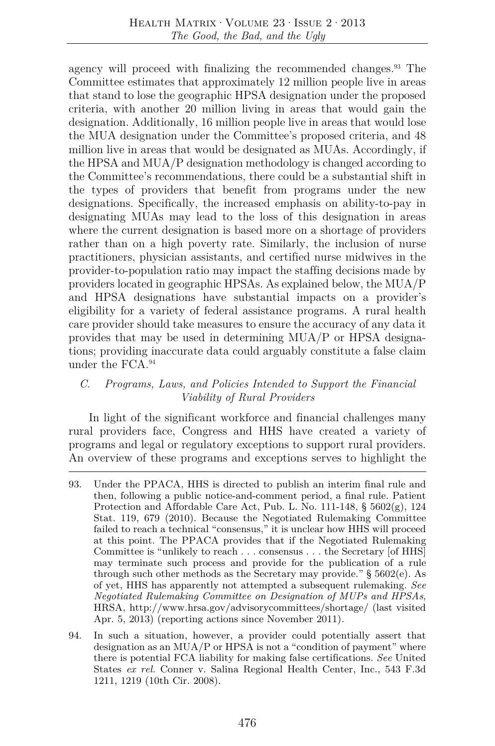agency will proceed with finalizing the recommended changes.<sup>93</sup> The Committee estimates that approximately 12 million people live in areas that stand to lose the geographic HPSA designation under the proposed criteria, with another 20 million living in areas that would gain the designation. Additionally, 16 million people live in areas that would lose the MUA designation under the Committee's proposed criteria, and 48 million live in areas that would be designated as MUAs. Accordingly, if the HPSA and MUA/P designation methodology is changed according to the Committee's recommendations, there could be a substantial shift in the types of providers that benefit from programs under the new designations. Specifically, the increased emphasis on ability-to-pay in designating MUAs may lead to the loss of this designation in areas where the current designation is based more on a shortage of providers rather than on a high poverty rate. Similarly, the inclusion of nurse practitioners, physician assistants, and certified nurse midwives in the provider-to-population ratio may impact the staffing decisions made by providers located in geographic HPSAs. As explained below, the MUA/P and HPSA designations have substantial impacts on a provider's eligibility for a variety of federal assistance programs. A rural health care provider should take measures to ensure the accuracy of any data it provides that may be used in determining MUA/P or HPSA designations; providing inaccurate data could arguably constitute a false claim under the FCA.94

# *C. Programs, Laws, and Policies Intended to Support the Financial Viability of Rural Providers*

In light of the significant workforce and financial challenges many rural providers face, Congress and HHS have created a variety of programs and legal or regulatory exceptions to support rural providers. An overview of these programs and exceptions serves to highlight the

- 93. Under the PPACA, HHS is directed to publish an interim final rule and then, following a public notice-and-comment period, a final rule. Patient Protection and Affordable Care Act, Pub. L. No. 111-148,  $\S$  5602 $(g)$ , 124 Stat. 119, 679 (2010). Because the Negotiated Rulemaking Committee failed to reach a technical "consensus," it is unclear how HHS will proceed at this point. The PPACA provides that if the Negotiated Rulemaking Committee is "unlikely to reach . . . consensus . . . the Secretary [of HHS] may terminate such process and provide for the publication of a rule through such other methods as the Secretary may provide." § 5602(e). As of yet, HHS has apparently not attempted a subsequent rulemaking. *See Negotiated Rulemaking Committee on Designation of MUPs and HPSAs*, HRSA, http://www.hrsa.gov/advisorycommittees/shortage/ (last visited Apr. 5, 2013) (reporting actions since November 2011).
- 94. In such a situation, however, a provider could potentially assert that designation as an MUA/P or HPSA is not a "condition of payment" where there is potential FCA liability for making false certifications. *See* United States *ex rel.* Conner v. Salina Regional Health Center, Inc., 543 F.3d 1211, 1219 (10th Cir. 2008).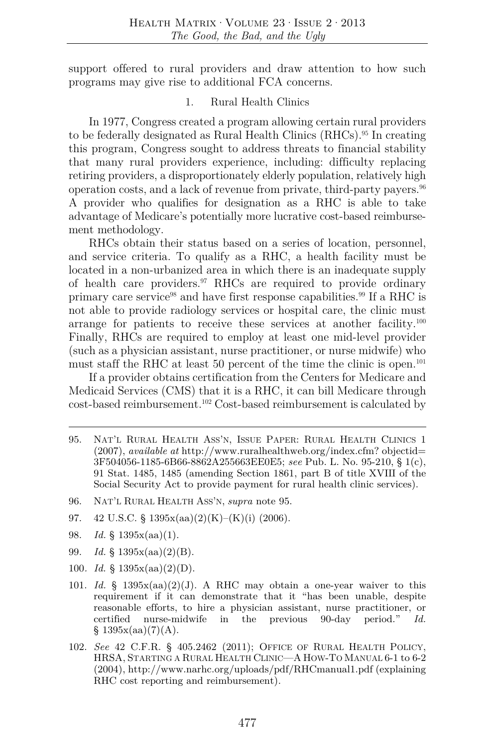support offered to rural providers and draw attention to how such programs may give rise to additional FCA concerns.

#### 1. Rural Health Clinics

In 1977, Congress created a program allowing certain rural providers to be federally designated as Rural Health Clinics (RHCs).95 In creating this program, Congress sought to address threats to financial stability that many rural providers experience, including: difficulty replacing retiring providers, a disproportionately elderly population, relatively high operation costs, and a lack of revenue from private, third-party payers.96 A provider who qualifies for designation as a RHC is able to take advantage of Medicare's potentially more lucrative cost-based reimbursement methodology.

RHCs obtain their status based on a series of location, personnel, and service criteria. To qualify as a RHC, a health facility must be located in a non-urbanized area in which there is an inadequate supply of health care providers.97 RHCs are required to provide ordinary primary care service<sup>98</sup> and have first response capabilities.<sup>99</sup> If a RHC is not able to provide radiology services or hospital care, the clinic must arrange for patients to receive these services at another facility.<sup>100</sup> Finally, RHCs are required to employ at least one mid-level provider (such as a physician assistant, nurse practitioner, or nurse midwife) who must staff the RHC at least 50 percent of the time the clinic is open.<sup>101</sup>

If a provider obtains certification from the Centers for Medicare and Medicaid Services (CMS) that it is a RHC, it can bill Medicare through cost-based reimbursement.102 Cost-based reimbursement is calculated by

- 100*. Id.* § 1395x(aa)(2)(D).
- 101. *Id.* §  $1395x(aa)(2)(J)$ . A RHC may obtain a one-year waiver to this requirement if it can demonstrate that it "has been unable, despite reasonable efforts, to hire a physician assistant, nurse practitioner, or certified nurse-midwife in the previous 90-day period." *Id.*  $§ 1395x(aa)(7)(A).$
- 102. *See* 42 C.F.R. § 405.2462 (2011); OFFICE OF RURAL HEALTH POLICY, HRSA, STARTING A RURAL HEALTH CLINIC—A HOW-TO MANUAL 6-1 to 6-2 (2004), http://www.narhc.org/uploads/pdf/RHCmanual1.pdf (explaining RHC cost reporting and reimbursement).

<sup>95.</sup> NAT'L RURAL HEALTH ASS'N, ISSUE PAPER: RURAL HEALTH CLINICS 1 (2007), *available at* http://www.ruralhealthweb.org/index.cfm? objectid= 3F504056-1185-6B66-8862A255663EE0E5; *see* Pub. L. No. 95-210, § 1(c), 91 Stat. 1485, 1485 (amending Section 1861, part B of title XVIII of the Social Security Act to provide payment for rural health clinic services).

<sup>96.</sup> NAT'L RURAL HEALTH ASS'N, *supra* note 95.

<sup>97. 42</sup> U.S.C. § 1395x(aa)(2)(K)–(K)(i) (2006).

<sup>98.</sup> *Id.* § 1395x(aa)(1).

<sup>99.</sup> *Id.* § 1395x(aa)(2)(B).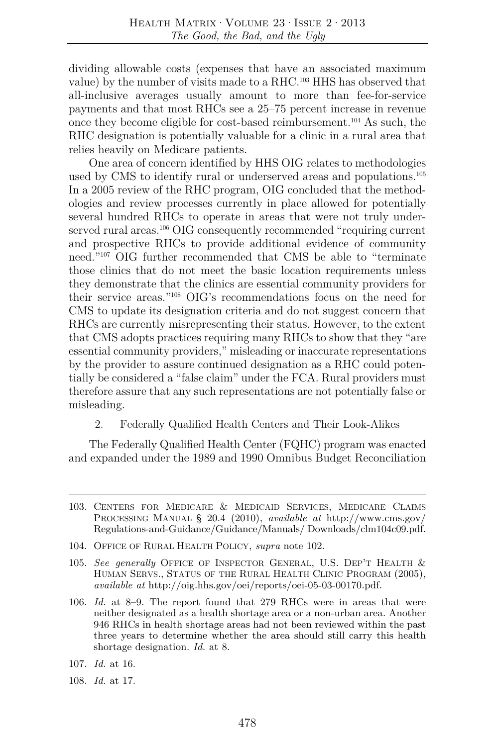dividing allowable costs (expenses that have an associated maximum value) by the number of visits made to a RHC.103 HHS has observed that all-inclusive averages usually amount to more than fee-for-service payments and that most RHCs see a 25–75 percent increase in revenue once they become eligible for cost-based reimbursement.104 As such, the RHC designation is potentially valuable for a clinic in a rural area that relies heavily on Medicare patients.

One area of concern identified by HHS OIG relates to methodologies used by CMS to identify rural or underserved areas and populations.<sup>105</sup> In a 2005 review of the RHC program, OIG concluded that the methodologies and review processes currently in place allowed for potentially several hundred RHCs to operate in areas that were not truly underserved rural areas.<sup>106</sup> OIG consequently recommended "requiring current" and prospective RHCs to provide additional evidence of community need."107 OIG further recommended that CMS be able to "terminate those clinics that do not meet the basic location requirements unless they demonstrate that the clinics are essential community providers for their service areas."108 OIG's recommendations focus on the need for CMS to update its designation criteria and do not suggest concern that RHCs are currently misrepresenting their status. However, to the extent that CMS adopts practices requiring many RHCs to show that they "are essential community providers," misleading or inaccurate representations by the provider to assure continued designation as a RHC could potentially be considered a "false claim" under the FCA. Rural providers must therefore assure that any such representations are not potentially false or misleading.

2. Federally Qualified Health Centers and Their Look-Alikes

The Federally Qualified Health Center (FQHC) program was enacted and expanded under the 1989 and 1990 Omnibus Budget Reconciliation

- 103. CENTERS FOR MEDICARE & MEDICAID SERVICES, MEDICARE CLAIMS PROCESSING MANUAL § 20.4 (2010), *available at* http://www.cms.gov/ Regulations-and-Guidance/Guidance/Manuals/ Downloads/clm104c09.pdf.
- 104. OFFICE OF RURAL HEALTH POLICY, *supra* note 102.
- 105. *See generally* OFFICE OF INSPECTOR GENERAL, U.S. DEP'T HEALTH & HUMAN SERVS., STATUS OF THE RURAL HEALTH CLINIC PROGRAM (2005), *available at* http://oig.hhs.gov/oei/reports/oei-05-03-00170.pdf.
- 106. *Id.* at 8–9. The report found that 279 RHCs were in areas that were neither designated as a health shortage area or a non-urban area. Another 946 RHCs in health shortage areas had not been reviewed within the past three years to determine whether the area should still carry this health shortage designation. *Id.* at 8.
- 107. *Id.* at 16.
- 108. *Id.* at 17.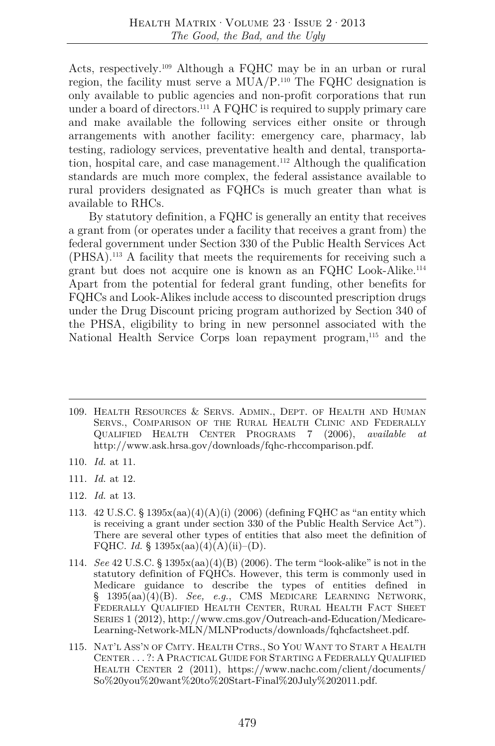Acts, respectively.109 Although a FQHC may be in an urban or rural region, the facility must serve a MUA/P.110 The FQHC designation is only available to public agencies and non-profit corporations that run under a board of directors.111 A FQHC is required to supply primary care and make available the following services either onsite or through arrangements with another facility: emergency care, pharmacy, lab testing, radiology services, preventative health and dental, transportation, hospital care, and case management.<sup>112</sup> Although the qualification standards are much more complex, the federal assistance available to rural providers designated as FQHCs is much greater than what is available to RHCs.

By statutory definition, a FQHC is generally an entity that receives a grant from (or operates under a facility that receives a grant from) the federal government under Section 330 of the Public Health Services Act (PHSA).113 A facility that meets the requirements for receiving such a grant but does not acquire one is known as an FQHC Look-Alike.114 Apart from the potential for federal grant funding, other benefits for FQHCs and Look-Alikes include access to discounted prescription drugs under the Drug Discount pricing program authorized by Section 340 of the PHSA, eligibility to bring in new personnel associated with the National Health Service Corps loan repayment program,<sup>115</sup> and the

- 109. HEALTH RESOURCES & SERVS. ADMIN., DEPT. OF HEALTH AND HUMAN SERVS., COMPARISON OF THE RURAL HEALTH CLINIC AND FEDERALLY QUALIFIED HEALTH CENTER PROGRAMS 7 (2006), *available at*  http://www.ask.hrsa.gov/downloads/fqhc-rhccomparison.pdf.
- 110. *Id.* at 11.
- 111. *Id.* at 12.
- 112. *Id.* at 13.
- 113.  $42 \text{ U.S.C. }$ §  $1395x(aa)(4)(A)(i)$  (2006) (defining FQHC as "an entity which is receiving a grant under section 330 of the Public Health Service Act"). There are several other types of entities that also meet the definition of FQHC. *Id.* §  $1395x(aa)(4)(A)(ii)–(D)$ .
- 114. *See* 42 U.S.C. § 1395x(aa)(4)(B) (2006). The term "look-alike" is not in the statutory definition of FQHCs. However, this term is commonly used in Medicare guidance to describe the types of entities defined in § 1395(aa)(4)(B). *See, e.g.*, CMS MEDICARE LEARNING NETWORK, FEDERALLY QUALIFIED HEALTH CENTER, RURAL HEALTH FACT SHEET SERIES 1 (2012), http://www.cms.gov/Outreach-and-Education/Medicare-Learning-Network-MLN/MLNProducts/downloads/fqhcfactsheet.pdf.
- 115. NAT'L ASS'N OF CMTY. HEALTH CTRS., SO YOU WANT TO START A HEALTH CENTER . . . ?: A PRACTICAL GUIDE FOR STARTING A FEDERALLY QUALIFIED HEALTH CENTER 2 (2011), https://www.nachc.com/client/documents/ So%20you%20want%20to%20Start-Final%20July%202011.pdf.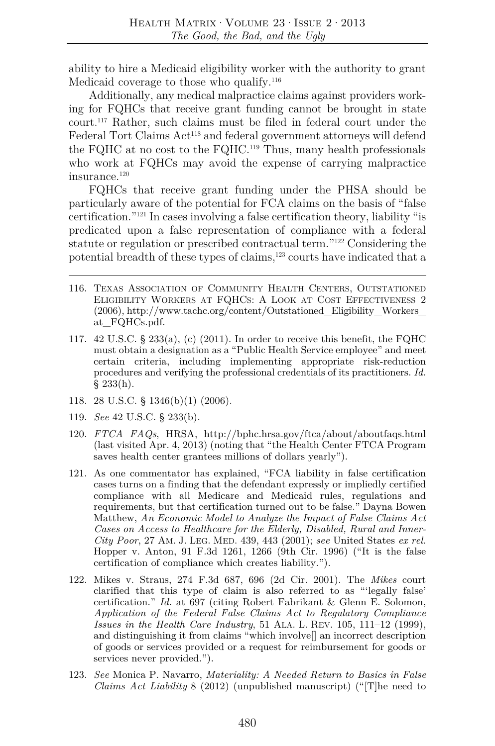ability to hire a Medicaid eligibility worker with the authority to grant Medicaid coverage to those who qualify.<sup>116</sup>

Additionally, any medical malpractice claims against providers working for FQHCs that receive grant funding cannot be brought in state court.117 Rather, such claims must be filed in federal court under the Federal Tort Claims Act<sup>118</sup> and federal government attorneys will defend the FQHC at no cost to the FQHC.<sup>119</sup> Thus, many health professionals who work at FQHCs may avoid the expense of carrying malpractice insurance.120

FQHCs that receive grant funding under the PHSA should be particularly aware of the potential for FCA claims on the basis of "false certification."121 In cases involving a false certification theory, liability "is predicated upon a false representation of compliance with a federal statute or regulation or prescribed contractual term."122 Considering the potential breadth of these types of claims,<sup>123</sup> courts have indicated that a

- 116. TEXAS ASSOCIATION OF COMMUNITY HEALTH CENTERS, OUTSTATIONED ELIGIBILITY WORKERS AT FQHCS: A LOOK AT COST EFFECTIVENESS 2 (2006), http://www.tachc.org/content/Outstationed\_Eligibility\_Workers\_ at\_FQHCs.pdf.
- 117.  $42 \text{ U.S.C. }$ §  $233(a)$ , (c) (2011). In order to receive this benefit, the FQHC must obtain a designation as a "Public Health Service employee" and meet certain criteria, including implementing appropriate risk-reduction procedures and verifying the professional credentials of its practitioners. *Id.*  $§ 233(h).$
- 118. 28 U.S.C. § 1346(b)(1) (2006).
- 119. *See* 42 U.S.C. § 233(b).
- 120. *FTCA FAQs*, HRSA, http://bphc.hrsa.gov/ftca/about/aboutfaqs.html (last visited Apr. 4, 2013) (noting that "the Health Center FTCA Program saves health center grantees millions of dollars yearly").
- 121. As one commentator has explained, "FCA liability in false certification cases turns on a finding that the defendant expressly or impliedly certified compliance with all Medicare and Medicaid rules, regulations and requirements, but that certification turned out to be false." Dayna Bowen Matthew, *An Economic Model to Analyze the Impact of False Claims Act Cases on Access to Healthcare for the Elderly, Disabled, Rural and Inner-City Poor*, 27 AM. J. LEG. MED. 439, 443 (2001); *see* United States *ex rel.* Hopper v. Anton, 91 F.3d 1261, 1266 (9th Cir. 1996) ("It is the false certification of compliance which creates liability.").
- 122. Mikes v. Straus, 274 F.3d 687, 696 (2d Cir. 2001). The *Mikes* court clarified that this type of claim is also referred to as "'legally false' certification." *Id.* at 697 (citing Robert Fabrikant & Glenn E. Solomon, *Application of the Federal False Claims Act to Regulatory Compliance Issues in the Health Care Industry*, 51 ALA. L. REV. 105, 111–12 (1999), and distinguishing it from claims "which involve[] an incorrect description of goods or services provided or a request for reimbursement for goods or services never provided.").
- 123. *See* Monica P. Navarro, *Materiality: A Needed Return to Basics in False Claims Act Liability* 8 (2012) (unpublished manuscript) ("[T]he need to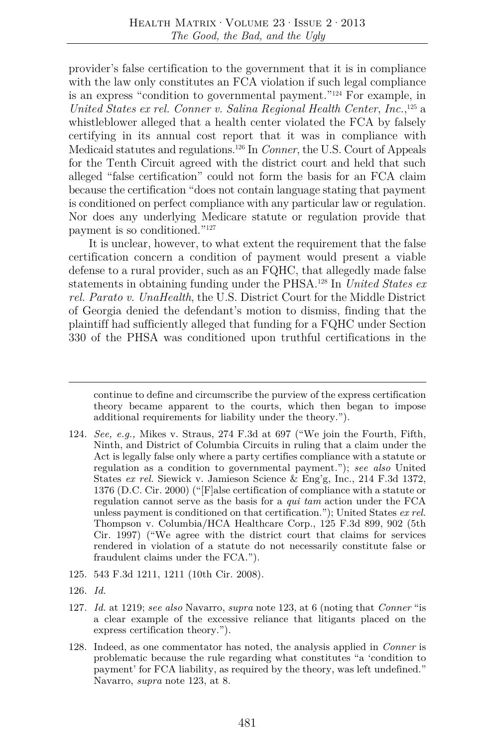provider's false certification to the government that it is in compliance with the law only constitutes an FCA violation if such legal compliance is an express "condition to governmental payment."124 For example, in *United States ex rel. Conner v. Salina Regional Health Center*, *Inc.*, 125 a whistleblower alleged that a health center violated the FCA by falsely certifying in its annual cost report that it was in compliance with Medicaid statutes and regulations.126 In *Conner*, the U.S. Court of Appeals for the Tenth Circuit agreed with the district court and held that such alleged "false certification" could not form the basis for an FCA claim because the certification "does not contain language stating that payment is conditioned on perfect compliance with any particular law or regulation. Nor does any underlying Medicare statute or regulation provide that payment is so conditioned."127

It is unclear, however, to what extent the requirement that the false certification concern a condition of payment would present a viable defense to a rural provider, such as an FQHC, that allegedly made false statements in obtaining funding under the PHSA.128 In *United States ex rel. Parato v. UnaHealth*, the U.S. District Court for the Middle District of Georgia denied the defendant's motion to dismiss, finding that the plaintiff had sufficiently alleged that funding for a FQHC under Section 330 of the PHSA was conditioned upon truthful certifications in the

- 125. 543 F.3d 1211, 1211 (10th Cir. 2008).
- 126. *Id.*
- 127. *Id.* at 1219; *see also* Navarro, *supra* note 123, at 6 (noting that *Conner* "is a clear example of the excessive reliance that litigants placed on the express certification theory.").
- 128. Indeed, as one commentator has noted, the analysis applied in *Conner* is problematic because the rule regarding what constitutes "a 'condition to payment' for FCA liability, as required by the theory, was left undefined." Navarro, *supra* note 123, at 8.

continue to define and circumscribe the purview of the express certification theory became apparent to the courts, which then began to impose additional requirements for liability under the theory.").

<sup>124.</sup> *See, e.g.,* Mikes v. Straus, 274 F.3d at 697 ("We join the Fourth, Fifth, Ninth, and District of Columbia Circuits in ruling that a claim under the Act is legally false only where a party certifies compliance with a statute or regulation as a condition to governmental payment."); *see also* United States *ex rel.* Siewick v. Jamieson Science & Eng'g, Inc., 214 F.3d 1372, 1376 (D.C. Cir. 2000) ("[F]alse certification of compliance with a statute or regulation cannot serve as the basis for a *qui tam* action under the FCA unless payment is conditioned on that certification."); United States *ex rel.* Thompson v. Columbia/HCA Healthcare Corp., 125 F.3d 899, 902 (5th Cir. 1997) ("We agree with the district court that claims for services rendered in violation of a statute do not necessarily constitute false or fraudulent claims under the FCA.").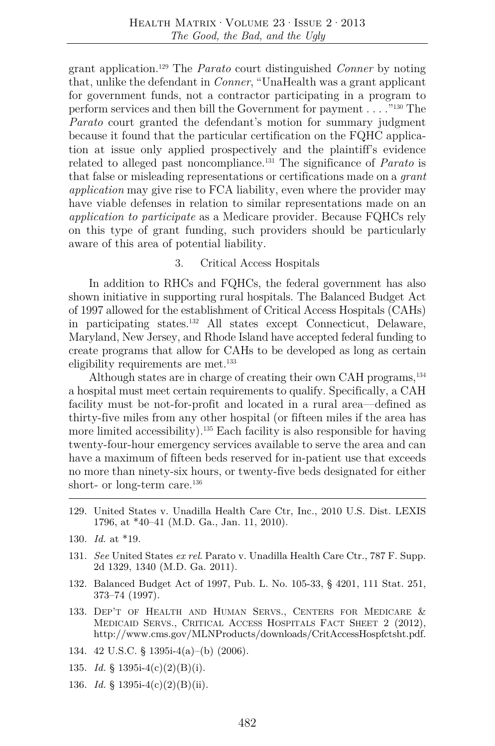grant application.129 The *Parato* court distinguished *Conner* by noting that, unlike the defendant in *Conner*, "UnaHealth was a grant applicant for government funds, not a contractor participating in a program to perform services and then bill the Government for payment . . . ."130 The *Parato* court granted the defendant's motion for summary judgment because it found that the particular certification on the FQHC application at issue only applied prospectively and the plaintiff's evidence related to alleged past noncompliance.131 The significance of *Parato* is that false or misleading representations or certifications made on a *grant application* may give rise to FCA liability, even where the provider may have viable defenses in relation to similar representations made on an *application to participate* as a Medicare provider. Because FQHCs rely on this type of grant funding, such providers should be particularly aware of this area of potential liability.

#### 3. Critical Access Hospitals

In addition to RHCs and FQHCs, the federal government has also shown initiative in supporting rural hospitals. The Balanced Budget Act of 1997 allowed for the establishment of Critical Access Hospitals (CAHs) in participating states.132 All states except Connecticut, Delaware, Maryland, New Jersey, and Rhode Island have accepted federal funding to create programs that allow for CAHs to be developed as long as certain eligibility requirements are met.<sup>133</sup>

Although states are in charge of creating their own CAH programs,<sup>134</sup> a hospital must meet certain requirements to qualify. Specifically, a CAH facility must be not-for-profit and located in a rural area—defined as thirty-five miles from any other hospital (or fifteen miles if the area has more limited accessibility).<sup>135</sup> Each facility is also responsible for having twenty-four-hour emergency services available to serve the area and can have a maximum of fifteen beds reserved for in-patient use that exceeds no more than ninety-six hours, or twenty-five beds designated for either short- or long-term care.<sup>136</sup>

- 129. United States v. Unadilla Health Care Ctr, Inc., 2010 U.S. Dist. LEXIS 1796, at \*40–41 (M.D. Ga., Jan. 11, 2010).
- 130. *Id.* at \*19.
- 131. *See* United States *ex rel*. Parato v. Unadilla Health Care Ctr., 787 F. Supp. 2d 1329, 1340 (M.D. Ga. 2011).
- 132. Balanced Budget Act of 1997, Pub. L. No. 105-33, § 4201, 111 Stat. 251, 373–74 (1997).
- 133. DEP'T OF HEALTH AND HUMAN SERVS., CENTERS FOR MEDICARE & MEDICAID SERVS., CRITICAL ACCESS HOSPITALS FACT SHEET 2 (2012), http://www.cms.gov/MLNProducts/downloads/CritAccessHospfctsht.pdf.
- 134. 42 U.S.C. § 1395i-4(a)–(b) (2006).
- 135. *Id.* § 1395i-4(c)(2)(B)(i).
- 136. *Id.* § 1395i-4(c)(2)(B)(ii).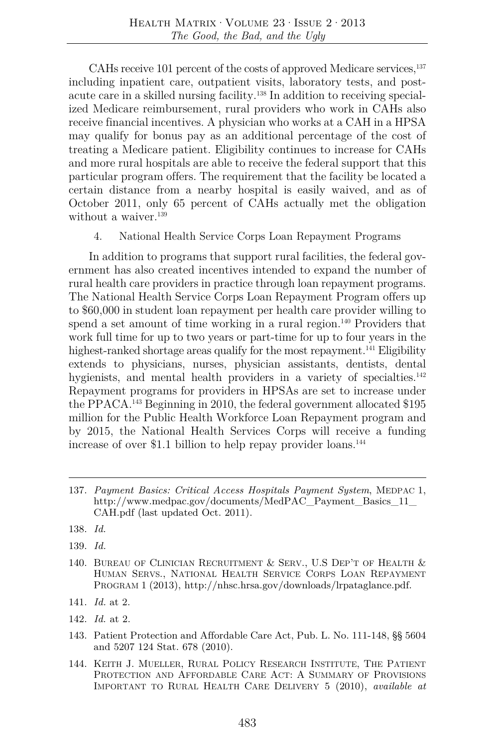CAHs receive 101 percent of the costs of approved Medicare services,<sup>137</sup> including inpatient care, outpatient visits, laboratory tests, and postacute care in a skilled nursing facility.138 In addition to receiving specialized Medicare reimbursement, rural providers who work in CAHs also receive financial incentives. A physician who works at a CAH in a HPSA may qualify for bonus pay as an additional percentage of the cost of treating a Medicare patient. Eligibility continues to increase for CAHs and more rural hospitals are able to receive the federal support that this particular program offers. The requirement that the facility be located a certain distance from a nearby hospital is easily waived, and as of October 2011, only 65 percent of CAHs actually met the obligation without a waiver. $139$ 

4. National Health Service Corps Loan Repayment Programs

In addition to programs that support rural facilities, the federal government has also created incentives intended to expand the number of rural health care providers in practice through loan repayment programs. The National Health Service Corps Loan Repayment Program offers up to \$60,000 in student loan repayment per health care provider willing to spend a set amount of time working in a rural region.<sup>140</sup> Providers that work full time for up to two years or part-time for up to four years in the highest-ranked shortage areas qualify for the most repayment.<sup>141</sup> Eligibility extends to physicians, nurses, physician assistants, dentists, dental hygienists, and mental health providers in a variety of specialties.<sup>142</sup> Repayment programs for providers in HPSAs are set to increase under the PPACA.143 Beginning in 2010, the federal government allocated \$195 million for the Public Health Workforce Loan Repayment program and by 2015, the National Health Services Corps will receive a funding increase of over \$1.1 billion to help repay provider loans.144

- 141. *Id.* at 2.
- 142. *Id.* at 2.
- 143. Patient Protection and Affordable Care Act, Pub. L. No. 111-148, §§ 5604 and 5207 124 Stat. 678 (2010).
- 144. KEITH J. MUELLER, RURAL POLICY RESEARCH INSTITUTE, THE PATIENT PROTECTION AND AFFORDABLE CARE ACT: A SUMMARY OF PROVISIONS IMPORTANT TO RURAL HEALTH CARE DELIVERY 5 (2010), *available at*

<sup>137.</sup> *Payment Basics: Critical Access Hospitals Payment System*, MEDPAC 1, http://www.medpac.gov/documents/MedPAC\_Payment\_Basics\_11\_ CAH.pdf (last updated Oct. 2011).

<sup>138.</sup> *Id.* 

<sup>139.</sup> *Id.*

<sup>140.</sup> BUREAU OF CLINICIAN RECRUITMENT & SERV., U.S DEP'T OF HEALTH & HUMAN SERVS., NATIONAL HEALTH SERVICE CORPS LOAN REPAYMENT PROGRAM 1 (2013), http://nhsc.hrsa.gov/downloads/lrpataglance.pdf.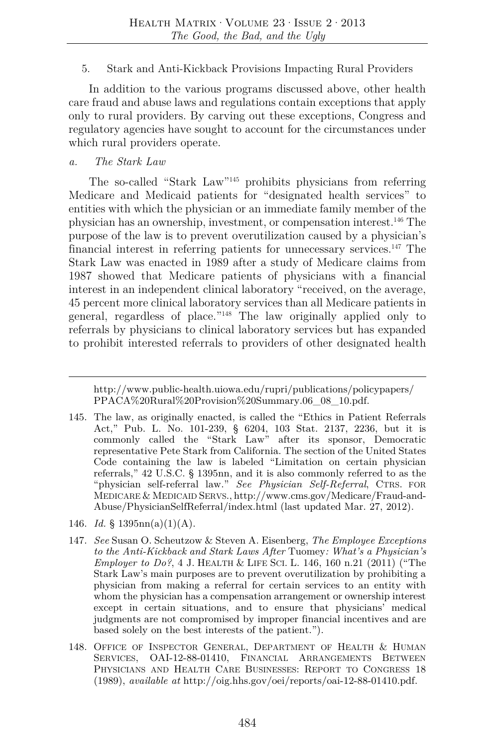#### 5. Stark and Anti-Kickback Provisions Impacting Rural Providers

In addition to the various programs discussed above, other health care fraud and abuse laws and regulations contain exceptions that apply only to rural providers. By carving out these exceptions, Congress and regulatory agencies have sought to account for the circumstances under which rural providers operate.

#### *a. The Stark Law*

The so-called "Stark Law"145 prohibits physicians from referring Medicare and Medicaid patients for "designated health services" to entities with which the physician or an immediate family member of the physician has an ownership, investment, or compensation interest.146 The purpose of the law is to prevent overutilization caused by a physician's financial interest in referring patients for unnecessary services.147 The Stark Law was enacted in 1989 after a study of Medicare claims from 1987 showed that Medicare patients of physicians with a financial interest in an independent clinical laboratory "received, on the average, 45 percent more clinical laboratory services than all Medicare patients in general, regardless of place."148 The law originally applied only to referrals by physicians to clinical laboratory services but has expanded to prohibit interested referrals to providers of other designated health

- 146. *Id.* § 1395 $mn(a)(1)(A)$ .
- 147. *See* Susan O. Scheutzow & Steven A. Eisenberg, *The Employee Exceptions to the Anti-Kickback and Stark Laws After* Tuomey*: What's a Physician's Employer to Do?*, 4 J. HEALTH & LIFE SCI. L. 146, 160 n.21 (2011) ("The Stark Law's main purposes are to prevent overutilization by prohibiting a physician from making a referral for certain services to an entity with whom the physician has a compensation arrangement or ownership interest except in certain situations, and to ensure that physicians' medical judgments are not compromised by improper financial incentives and are based solely on the best interests of the patient.").
- 148. OFFICE OF INSPECTOR GENERAL, DEPARTMENT OF HEALTH & HUMAN SERVICES, OAI-12-88-01410, FINANCIAL ARRANGEMENTS BETWEEN PHYSICIANS AND HEALTH CARE BUSINESSES: REPORT TO CONGRESS 18 (1989), *available at* http://oig.hhs.gov/oei/reports/oai-12-88-01410.pdf.

http://www.public-health.uiowa.edu/rupri/publications/policypapers/ PPACA%20Rural%20Provision%20Summary.06\_08\_10.pdf.

<sup>145.</sup> The law, as originally enacted, is called the "Ethics in Patient Referrals Act," Pub. L. No. 101-239, § 6204, 103 Stat. 2137, 2236, but it is commonly called the "Stark Law" after its sponsor, Democratic representative Pete Stark from California. The section of the United States Code containing the law is labeled "Limitation on certain physician referrals," 42 U.S.C. § 1395nn, and it is also commonly referred to as the "physician self-referral law." *See Physician Self-Referral*, CTRS. FOR MEDICARE & MEDICAID SERVS., http://www.cms.gov/Medicare/Fraud-and-Abuse/PhysicianSelfReferral/index.html (last updated Mar. 27, 2012).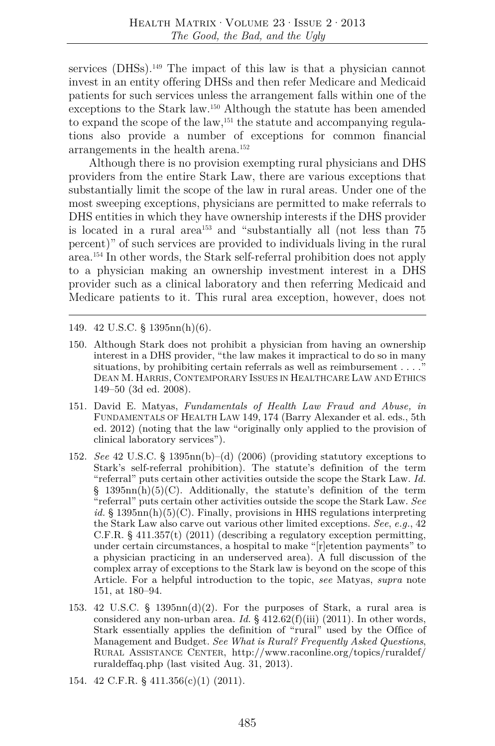services (DHSs).<sup>149</sup> The impact of this law is that a physician cannot invest in an entity offering DHSs and then refer Medicare and Medicaid patients for such services unless the arrangement falls within one of the exceptions to the Stark law.150 Although the statute has been amended to expand the scope of the law,<sup>151</sup> the statute and accompanying regulations also provide a number of exceptions for common financial arrangements in the health arena.152

Although there is no provision exempting rural physicians and DHS providers from the entire Stark Law, there are various exceptions that substantially limit the scope of the law in rural areas. Under one of the most sweeping exceptions, physicians are permitted to make referrals to DHS entities in which they have ownership interests if the DHS provider is located in a rural area<sup> $153$ </sup> and "substantially all (not less than 75) percent)" of such services are provided to individuals living in the rural area.154 In other words, the Stark self-referral prohibition does not apply to a physician making an ownership investment interest in a DHS provider such as a clinical laboratory and then referring Medicaid and Medicare patients to it. This rural area exception, however, does not

149. 42 U.S.C. § 1395nn(h)(6).

- 150. Although Stark does not prohibit a physician from having an ownership interest in a DHS provider, "the law makes it impractical to do so in many situations, by prohibiting certain referrals as well as reimbursement . . . ." DEAN M. HARRIS, CONTEMPORARY ISSUES IN HEALTHCARE LAW AND ETHICS 149–50 (3d ed. 2008).
- 151. David E. Matyas, *Fundamentals of Health Law Fraud and Abuse, in*  FUNDAMENTALS OF HEALTH LAW 149, 174 (Barry Alexander et al. eds., 5th ed. 2012) (noting that the law "originally only applied to the provision of clinical laboratory services").
- 152. *See* 42 U.S.C. § 1395nn(b)–(d) (2006) (providing statutory exceptions to Stark's self-referral prohibition). The statute's definition of the term "referral" puts certain other activities outside the scope the Stark Law. *Id.*  $§$  1395nn(h)(5)(C). Additionally, the statute's definition of the term "referral" puts certain other activities outside the scope the Stark Law. *See id.* § 1395nn(h)(5)(C). Finally, provisions in HHS regulations interpreting the Stark Law also carve out various other limited exceptions. *See*, *e.g.*, 42 C.F.R. § 411.357(t) (2011) (describing a regulatory exception permitting, under certain circumstances, a hospital to make "[r]etention payments" to a physician practicing in an underserved area). A full discussion of the complex array of exceptions to the Stark law is beyond on the scope of this Article. For a helpful introduction to the topic, *see* Matyas, *supra* note 151, at 180–94.
- 153. 42 U.S.C. § 1395nn(d)(2). For the purposes of Stark, a rural area is considered any non-urban area. *Id.* § 412.62(f)(iii) (2011). In other words, Stark essentially applies the definition of "rural" used by the Office of Management and Budget. *See What is Rural? Frequently Asked Questions*, RURAL ASSISTANCE CENTER, http://www.raconline.org/topics/ruraldef/ ruraldeffaq.php (last visited Aug. 31, 2013).
- 154. 42 C.F.R. § 411.356(c)(1) (2011).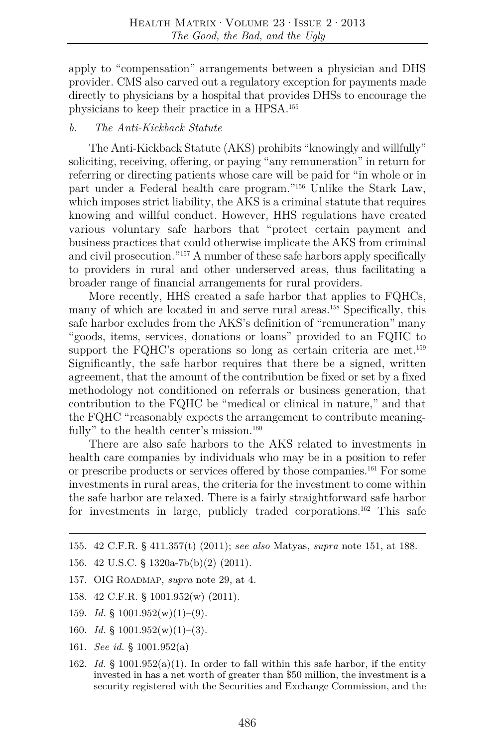apply to "compensation" arrangements between a physician and DHS provider. CMS also carved out a regulatory exception for payments made directly to physicians by a hospital that provides DHSs to encourage the physicians to keep their practice in a HPSA.155

#### *b. The Anti-Kickback Statute*

The Anti-Kickback Statute (AKS) prohibits "knowingly and willfully" soliciting, receiving, offering, or paying "any remuneration" in return for referring or directing patients whose care will be paid for "in whole or in part under a Federal health care program."156 Unlike the Stark Law, which imposes strict liability, the AKS is a criminal statute that requires knowing and willful conduct. However, HHS regulations have created various voluntary safe harbors that "protect certain payment and business practices that could otherwise implicate the AKS from criminal and civil prosecution."157 A number of these safe harbors apply specifically to providers in rural and other underserved areas, thus facilitating a broader range of financial arrangements for rural providers.

More recently, HHS created a safe harbor that applies to FQHCs, many of which are located in and serve rural areas.158 Specifically, this safe harbor excludes from the AKS's definition of "remuneration" many "goods, items, services, donations or loans" provided to an FQHC to support the FQHC's operations so long as certain criteria are met.<sup>159</sup> Significantly, the safe harbor requires that there be a signed, written agreement, that the amount of the contribution be fixed or set by a fixed methodology not conditioned on referrals or business generation, that contribution to the FQHC be "medical or clinical in nature," and that the FQHC "reasonably expects the arrangement to contribute meaningfully" to the health center's mission.<sup>160</sup>

There are also safe harbors to the AKS related to investments in health care companies by individuals who may be in a position to refer or prescribe products or services offered by those companies.161 For some investments in rural areas, the criteria for the investment to come within the safe harbor are relaxed. There is a fairly straightforward safe harbor for investments in large, publicly traded corporations.162 This safe

- 158. 42 C.F.R. § 1001.952(w) (2011).
- 159. *Id.* § 1001.952(w)(1)–(9).
- 160. *Id.* § 1001.952(w)(1)–(3).
- 161. *See id.* § 1001.952(a)
- 162. *Id.* § 1001.952(a)(1). In order to fall within this safe harbor, if the entity invested in has a net worth of greater than \$50 million, the investment is a security registered with the Securities and Exchange Commission, and the

<sup>155. 42</sup> C.F.R. § 411.357(t) (2011); *see also* Matyas, *supra* note 151, at 188.

<sup>156. 42</sup> U.S.C. § 1320a-7b(b)(2) (2011).

<sup>157.</sup> OIG ROADMAP, *supra* note 29, at 4.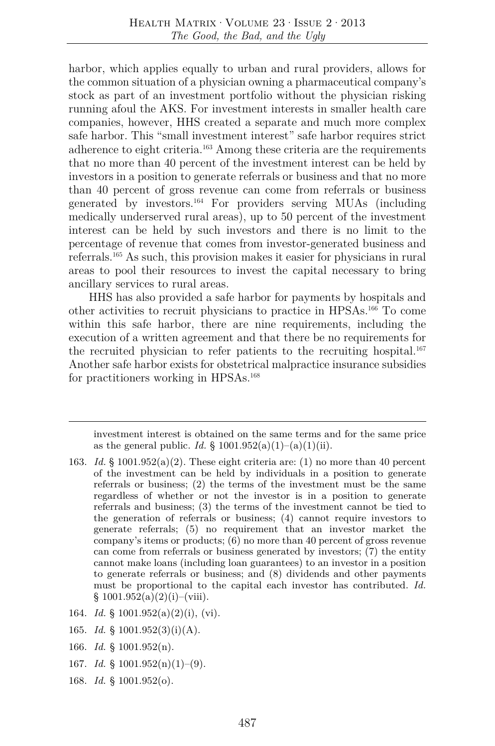harbor, which applies equally to urban and rural providers, allows for the common situation of a physician owning a pharmaceutical company's stock as part of an investment portfolio without the physician risking running afoul the AKS. For investment interests in smaller health care companies, however, HHS created a separate and much more complex safe harbor. This "small investment interest" safe harbor requires strict adherence to eight criteria.163 Among these criteria are the requirements that no more than 40 percent of the investment interest can be held by investors in a position to generate referrals or business and that no more than 40 percent of gross revenue can come from referrals or business generated by investors.164 For providers serving MUAs (including medically underserved rural areas), up to 50 percent of the investment interest can be held by such investors and there is no limit to the percentage of revenue that comes from investor-generated business and referrals.165 As such, this provision makes it easier for physicians in rural areas to pool their resources to invest the capital necessary to bring ancillary services to rural areas.

HHS has also provided a safe harbor for payments by hospitals and other activities to recruit physicians to practice in HPSAs.166 To come within this safe harbor, there are nine requirements, including the execution of a written agreement and that there be no requirements for the recruited physician to refer patients to the recruiting hospital.<sup>167</sup> Another safe harbor exists for obstetrical malpractice insurance subsidies for practitioners working in HPSAs.168

investment interest is obtained on the same terms and for the same price as the general public. *Id.* § 1001.952(a)(1)–(a)(1)(ii).

- 163. Id. § 1001.952(a)(2). These eight criteria are: (1) no more than 40 percent of the investment can be held by individuals in a position to generate referrals or business; (2) the terms of the investment must be the same regardless of whether or not the investor is in a position to generate referrals and business; (3) the terms of the investment cannot be tied to the generation of referrals or business; (4) cannot require investors to generate referrals; (5) no requirement that an investor market the company's items or products; (6) no more than 40 percent of gross revenue can come from referrals or business generated by investors; (7) the entity cannot make loans (including loan guarantees) to an investor in a position to generate referrals or business; and (8) dividends and other payments must be proportional to the capital each investor has contributed. *Id.*  $§ 1001.952(a)(2)(i)–(viii).$
- 164. *Id.* § 1001.952(a)(2)(i), (vi).
- 165. *Id.* § 1001.952(3)(i)(A).
- 166. *Id.* § 1001.952(n).
- 167. *Id.* § 1001.952(n)(1)–(9).
- 168. *Id.* § 1001.952(o).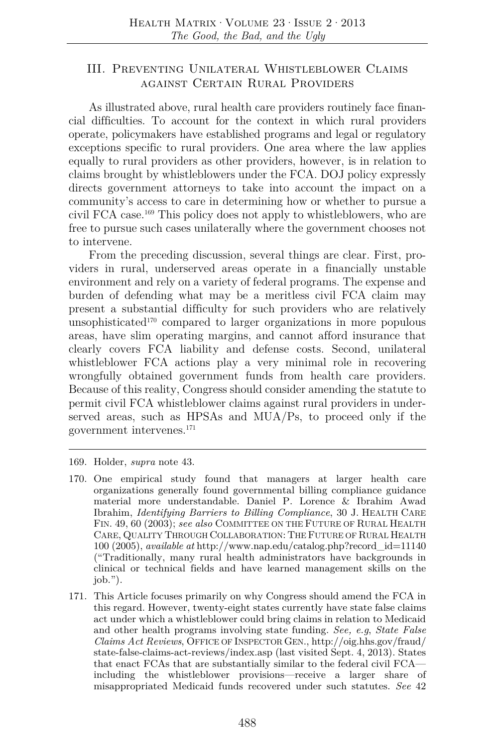# III. Preventing Unilateral Whistleblower Claims against Certain Rural Providers

As illustrated above, rural health care providers routinely face financial difficulties. To account for the context in which rural providers operate, policymakers have established programs and legal or regulatory exceptions specific to rural providers. One area where the law applies equally to rural providers as other providers, however, is in relation to claims brought by whistleblowers under the FCA. DOJ policy expressly directs government attorneys to take into account the impact on a community's access to care in determining how or whether to pursue a civil FCA case.169 This policy does not apply to whistleblowers, who are free to pursue such cases unilaterally where the government chooses not to intervene.

From the preceding discussion, several things are clear. First, providers in rural, underserved areas operate in a financially unstable environment and rely on a variety of federal programs. The expense and burden of defending what may be a meritless civil FCA claim may present a substantial difficulty for such providers who are relatively unsophisticated<sup>170</sup> compared to larger organizations in more populous areas, have slim operating margins, and cannot afford insurance that clearly covers FCA liability and defense costs. Second, unilateral whistleblower FCA actions play a very minimal role in recovering wrongfully obtained government funds from health care providers. Because of this reality, Congress should consider amending the statute to permit civil FCA whistleblower claims against rural providers in underserved areas, such as HPSAs and MUA/Ps, to proceed only if the government intervenes.171

- 169. Holder, *supra* note 43.
- 170. One empirical study found that managers at larger health care organizations generally found governmental billing compliance guidance material more understandable. Daniel P. Lorence & Ibrahim Awad Ibrahim, *Identifying Barriers to Billing Compliance*, 30 J. HEALTH CARE FIN. 49, 60 (2003); *see also* COMMITTEE ON THE FUTURE OF RURAL HEALTH CARE, QUALITY THROUGH COLLABORATION: THE FUTURE OF RURAL HEALTH 100 (2005), *available at* http://www.nap.edu/catalog.php?record\_id=11140 ("Traditionally, many rural health administrators have backgrounds in clinical or technical fields and have learned management skills on the  $job."$ ).
- 171. This Article focuses primarily on why Congress should amend the FCA in this regard. However, twenty-eight states currently have state false claims act under which a whistleblower could bring claims in relation to Medicaid and other health programs involving state funding. *See, e.g*, *State False Claims Act Reviews*, OFFICE OF INSPECTOR GEN., http://oig.hhs.gov/fraud/ state-false-claims-act-reviews/index.asp (last visited Sept. 4, 2013). States that enact FCAs that are substantially similar to the federal civil FCA including the whistleblower provisions—receive a larger share of misappropriated Medicaid funds recovered under such statutes. *See* 42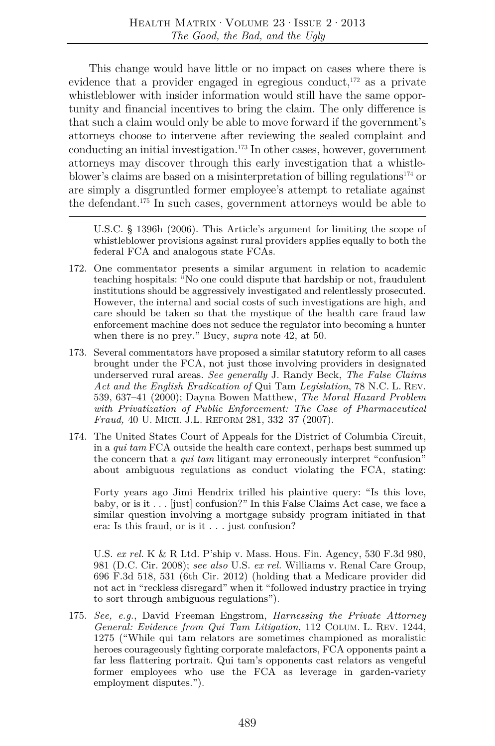This change would have little or no impact on cases where there is evidence that a provider engaged in egregious conduct, $172$  as a private whistleblower with insider information would still have the same opportunity and financial incentives to bring the claim. The only difference is that such a claim would only be able to move forward if the government's attorneys choose to intervene after reviewing the sealed complaint and conducting an initial investigation. $173$  In other cases, however, government attorneys may discover through this early investigation that a whistleblower's claims are based on a misinterpretation of billing regulations<sup>174</sup> or are simply a disgruntled former employee's attempt to retaliate against the defendant.175 In such cases, government attorneys would be able to

U.S.C. § 1396h (2006). This Article's argument for limiting the scope of whistleblower provisions against rural providers applies equally to both the federal FCA and analogous state FCAs.

- 172. One commentator presents a similar argument in relation to academic teaching hospitals: "No one could dispute that hardship or not, fraudulent institutions should be aggressively investigated and relentlessly prosecuted. However, the internal and social costs of such investigations are high, and care should be taken so that the mystique of the health care fraud law enforcement machine does not seduce the regulator into becoming a hunter when there is no prey." Bucy, *supra* note 42, at 50.
- 173. Several commentators have proposed a similar statutory reform to all cases brought under the FCA, not just those involving providers in designated underserved rural areas. *See generally* J. Randy Beck, *The False Claims Act and the English Eradication of* Qui Tam *Legislation*, 78 N.C. L. REV. 539, 637–41 (2000); Dayna Bowen Matthew, *The Moral Hazard Problem with Privatization of Public Enforcement: The Case of Pharmaceutical Fraud,* 40 U. MICH. J.L. REFORM 281, 332–37 (2007).
- 174. The United States Court of Appeals for the District of Columbia Circuit, in a *qui tam* FCA outside the health care context, perhaps best summed up the concern that a *qui tam* litigant may erroneously interpret "confusion" about ambiguous regulations as conduct violating the FCA, stating:

Forty years ago Jimi Hendrix trilled his plaintive query: "Is this love, baby, or is it . . . [just] confusion?" In this False Claims Act case, we face a similar question involving a mortgage subsidy program initiated in that era: Is this fraud, or is it . . . just confusion?

 U.S. *ex rel.* K & R Ltd. P'ship v. Mass. Hous. Fin. Agency, 530 F.3d 980, 981 (D.C. Cir. 2008); *see also* U.S. *ex rel.* Williams v. Renal Care Group, 696 F.3d 518, 531 (6th Cir. 2012) (holding that a Medicare provider did not act in "reckless disregard" when it "followed industry practice in trying to sort through ambiguous regulations").

175. *See, e.g.*, David Freeman Engstrom, *Harnessing the Private Attorney General: Evidence from Qui Tam Litigation*, 112 COLUM. L. REV. 1244, 1275 ("While qui tam relators are sometimes championed as moralistic heroes courageously fighting corporate malefactors, FCA opponents paint a far less flattering portrait. Qui tam's opponents cast relators as vengeful former employees who use the FCA as leverage in garden-variety employment disputes.").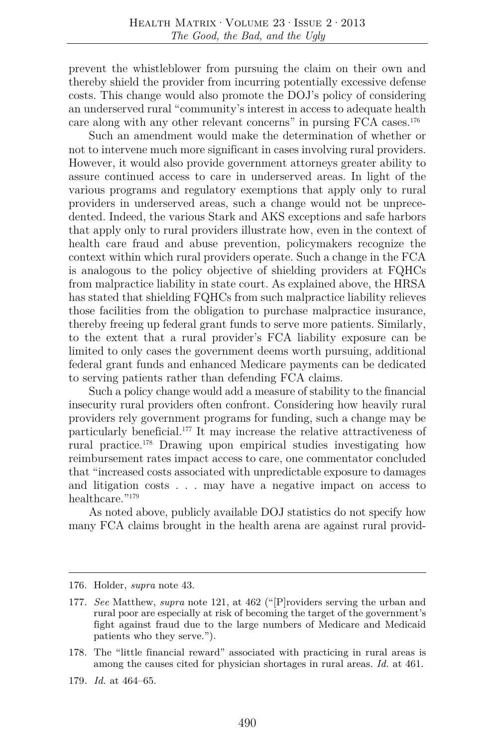prevent the whistleblower from pursuing the claim on their own and thereby shield the provider from incurring potentially excessive defense costs. This change would also promote the DOJ's policy of considering an underserved rural "community's interest in access to adequate health care along with any other relevant concerns" in pursing FCA cases.176

Such an amendment would make the determination of whether or not to intervene much more significant in cases involving rural providers. However, it would also provide government attorneys greater ability to assure continued access to care in underserved areas. In light of the various programs and regulatory exemptions that apply only to rural providers in underserved areas, such a change would not be unprecedented. Indeed, the various Stark and AKS exceptions and safe harbors that apply only to rural providers illustrate how, even in the context of health care fraud and abuse prevention, policymakers recognize the context within which rural providers operate. Such a change in the FCA is analogous to the policy objective of shielding providers at FQHCs from malpractice liability in state court. As explained above, the HRSA has stated that shielding FQHCs from such malpractice liability relieves those facilities from the obligation to purchase malpractice insurance, thereby freeing up federal grant funds to serve more patients. Similarly, to the extent that a rural provider's FCA liability exposure can be limited to only cases the government deems worth pursuing, additional federal grant funds and enhanced Medicare payments can be dedicated to serving patients rather than defending FCA claims.

Such a policy change would add a measure of stability to the financial insecurity rural providers often confront. Considering how heavily rural providers rely government programs for funding, such a change may be particularly beneficial.177 It may increase the relative attractiveness of rural practice.178 Drawing upon empirical studies investigating how reimbursement rates impact access to care, one commentator concluded that "increased costs associated with unpredictable exposure to damages and litigation costs . . . may have a negative impact on access to healthcare."179

As noted above, publicly available DOJ statistics do not specify how many FCA claims brought in the health arena are against rural provid-

<sup>176.</sup> Holder, *supra* note 43.

<sup>177.</sup> *See* Matthew, *supra* note 121, at 462 ("[P]roviders serving the urban and rural poor are especially at risk of becoming the target of the government's fight against fraud due to the large numbers of Medicare and Medicaid patients who they serve.").

<sup>178.</sup> The "little financial reward" associated with practicing in rural areas is among the causes cited for physician shortages in rural areas. *Id.* at 461.

<sup>179</sup>*. Id.* at 464–65.